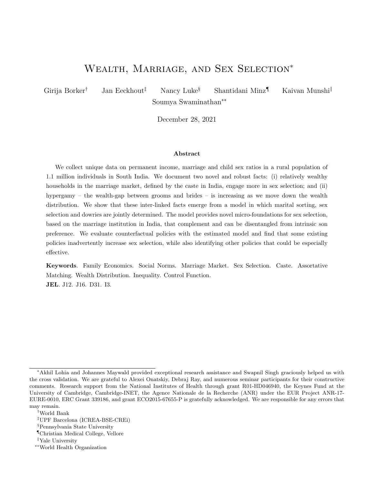# WEALTH, MARRIAGE, AND SEX SELECTION<sup>\*</sup>

Girija Borker† Jan Eeckhout‡ Nancy Luke§ Shantidani Minz¶ Kaivan Munshi‖ Soumya Swaminathan∗∗

December 28, 2021

#### Abstract

We collect unique data on permanent income, marriage and child sex ratios in a rural population of 1.1 million individuals in South India. We document two novel and robust facts: (i) relatively wealthy households in the marriage market, defined by the caste in India, engage more in sex selection; and (ii) hypergamy – the wealth-gap between grooms and brides – is increasing as we move down the wealth distribution. We show that these inter-linked facts emerge from a model in which marital sorting, sex selection and dowries are jointly determined. The model provides novel micro-foundations for sex selection, based on the marriage institution in India, that complement and can be disentangled from intrinsic son preference. We evaluate counterfactual policies with the estimated model and find that some existing policies inadvertently increase sex selection, while also identifying other policies that could be especially effective.

Keywords. Family Economics. Social Norms. Marriage Market. Sex Selection. Caste. Assortative Matching. Wealth Distribution. Inequality. Control Function. JEL. J12. J16. D31. I3.

<sup>∗</sup>Akhil Lohia and Johannes Maywald provided exceptional research assistance and Swapnil Singh graciously helped us with the cross validation. We are grateful to Alexei Onatskiy, Debraj Ray, and numerous seminar participants for their constructive comments. Research support from the National Institutes of Health through grant R01-HD046940, the Keynes Fund at the University of Cambridge, Cambridge-INET, the Agence Nationale de la Recherche (ANR) under the EUR Project ANR-17- EURE-0010, ERC Grant 339186, and grant ECO2015-67655-P is gratefully acknowledged. We are responsible for any errors that may remain.

<sup>†</sup>World Bank

<sup>‡</sup>UPF Barcelona (ICREA-BSE-CREi)

<sup>§</sup>Pennsylvania State University

<sup>¶</sup>Christian Medical College, Vellore

<sup>‖</sup>Yale University

<sup>∗∗</sup>World Health Organization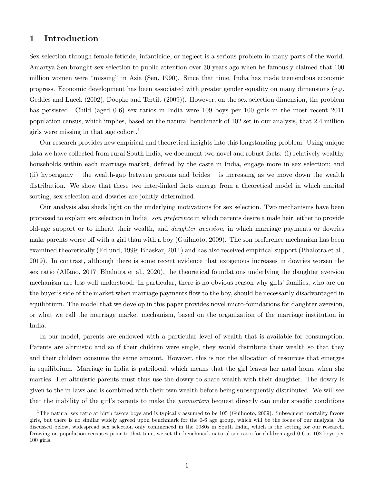## 1 Introduction

Sex selection through female feticide, infanticide, or neglect is a serious problem in many parts of the world. Amartya Sen brought sex selection to public attention over 30 years ago when he famously claimed that 100 million women were "missing" in Asia (Sen, 1990). Since that time, India has made tremendous economic progress. Economic development has been associated with greater gender equality on many dimensions (e.g. Geddes and Lueck (2002), Doepke and Tertilt (2009)). However, on the sex selection dimension, the problem has persisted. Child (aged 0-6) sex ratios in India were 109 boys per 100 girls in the most recent 2011 population census, which implies, based on the natural benchmark of 102 set in our analysis, that 2.4 million girls were missing in that age cohort.<sup>1</sup>

Our research provides new empirical and theoretical insights into this longstanding problem. Using unique data we have collected from rural South India, we document two novel and robust facts: (i) relatively wealthy households within each marriage market, defined by the caste in India, engage more in sex selection; and (ii) hypergamy – the wealth-gap between grooms and brides – is increasing as we move down the wealth distribution. We show that these two inter-linked facts emerge from a theoretical model in which marital sorting, sex selection and dowries are jointly determined.

Our analysis also sheds light on the underlying motivations for sex selection. Two mechanisms have been proposed to explain sex selection in India: son preference in which parents desire a male heir, either to provide old-age support or to inherit their wealth, and daughter aversion, in which marriage payments or dowries make parents worse off with a girl than with a boy (Guilmoto, 2009). The son preference mechanism has been examined theoretically (Edlund, 1999; Bhaskar, 2011) and has also received empirical support (Bhalotra et al., 2019). In contrast, although there is some recent evidence that exogenous increases in dowries worsen the sex ratio (Alfano, 2017; Bhalotra et al., 2020), the theoretical foundations underlying the daughter aversion mechanism are less well understood. In particular, there is no obvious reason why girls' families, who are on the buyer's side of the market when marriage payments flow to the boy, should be necessarily disadvantaged in equilibrium. The model that we develop in this paper provides novel micro-foundations for daughter aversion, or what we call the marriage market mechanism, based on the organization of the marriage institution in India.

In our model, parents are endowed with a particular level of wealth that is available for consumption. Parents are altruistic and so if their children were single, they would distribute their wealth so that they and their children consume the same amount. However, this is not the allocation of resources that emerges in equilibrium. Marriage in India is patrilocal, which means that the girl leaves her natal home when she marries. Her altruistic parents must thus use the dowry to share wealth with their daughter. The dowry is given to the in-laws and is combined with their own wealth before being subsequently distributed. We will see that the inability of the girl's parents to make the premortem bequest directly can under specific conditions

<sup>&</sup>lt;sup>1</sup>The natural sex ratio at birth favors boys and is typically assumed to be  $105$  (Guilmoto, 2009). Subsequent mortality favors girls, but there is no similar widely agreed upon benchmark for the 0-6 age group, which will be the focus of our analysis. As discussed below, widespread sex selection only commenced in the 1980s in South India, which is the setting for our research. Drawing on population censuses prior to that time, we set the benchmark natural sex ratio for children aged 0-6 at 102 boys per 100 girls.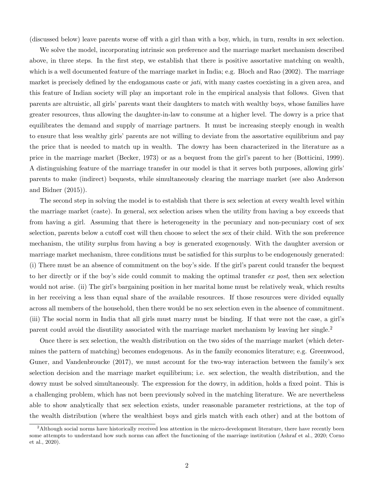(discussed below) leave parents worse off with a girl than with a boy, which, in turn, results in sex selection.

We solve the model, incorporating intrinsic son preference and the marriage market mechanism described above, in three steps. In the first step, we establish that there is positive assortative matching on wealth, which is a well documented feature of the marriage market in India; e.g. Bloch and Rao (2002). The marriage market is precisely defined by the endogamous caste or jati, with many castes coexisting in a given area, and this feature of Indian society will play an important role in the empirical analysis that follows. Given that parents are altruistic, all girls' parents want their daughters to match with wealthy boys, whose families have greater resources, thus allowing the daughter-in-law to consume at a higher level. The dowry is a price that equilibrates the demand and supply of marriage partners. It must be increasing steeply enough in wealth to ensure that less wealthy girls' parents are not willing to deviate from the assortative equilibrium and pay the price that is needed to match up in wealth. The dowry has been characterized in the literature as a price in the marriage market (Becker, 1973) or as a bequest from the girl's parent to her (Botticini, 1999). A distinguishing feature of the marriage transfer in our model is that it serves both purposes, allowing girls' parents to make (indirect) bequests, while simultaneously clearing the marriage market (see also Anderson and Bidner (2015)).

The second step in solving the model is to establish that there is sex selection at every wealth level within the marriage market (caste). In general, sex selection arises when the utility from having a boy exceeds that from having a girl. Assuming that there is heterogeneity in the pecuniary and non-pecuniary cost of sex selection, parents below a cutoff cost will then choose to select the sex of their child. With the son preference mechanism, the utility surplus from having a boy is generated exogenously. With the daughter aversion or marriage market mechanism, three conditions must be satisfied for this surplus to be endogenously generated: (i) There must be an absence of commitment on the boy's side. If the girl's parent could transfer the bequest to her directly or if the boy's side could commit to making the optimal transfer ex post, then sex selection would not arise. (ii) The girl's bargaining position in her marital home must be relatively weak, which results in her receiving a less than equal share of the available resources. If those resources were divided equally across all members of the household, then there would be no sex selection even in the absence of commitment. (iii) The social norm in India that all girls must marry must be binding. If that were not the case, a girl's parent could avoid the disutility associated with the marriage market mechanism by leaving her single.<sup>2</sup>

Once there is sex selection, the wealth distribution on the two sides of the marriage market (which determines the pattern of matching) becomes endogenous. As in the family economics literature; e.g. Greenwood, Guner, and Vandenbroucke (2017), we must account for the two-way interaction between the family's sex selection decision and the marriage market equilibrium; i.e. sex selection, the wealth distribution, and the dowry must be solved simultaneously. The expression for the dowry, in addition, holds a fixed point. This is a challenging problem, which has not been previously solved in the matching literature. We are nevertheless able to show analytically that sex selection exists, under reasonable parameter restrictions, at the top of the wealth distribution (where the wealthiest boys and girls match with each other) and at the bottom of

<sup>&</sup>lt;sup>2</sup>Although social norms have historically received less attention in the micro-development literature, there have recently been some attempts to understand how such norms can affect the functioning of the marriage institution (Ashraf et al., 2020; Corno et al., 2020).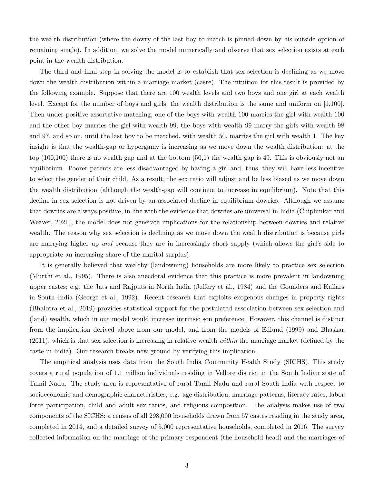the wealth distribution (where the dowry of the last boy to match is pinned down by his outside option of remaining single). In addition, we solve the model numerically and observe that sex selection exists at each point in the wealth distribution.

The third and final step in solving the model is to establish that sex selection is declining as we move down the wealth distribution within a marriage market (caste). The intuition for this result is provided by the following example. Suppose that there are 100 wealth levels and two boys and one girl at each wealth level. Except for the number of boys and girls, the wealth distribution is the same and uniform on [1,100]. Then under positive assortative matching, one of the boys with wealth 100 marries the girl with wealth 100 and the other boy marries the girl with wealth 99, the boys with wealth 99 marry the girls with wealth 98 and 97, and so on, until the last boy to be matched, with wealth 50, marries the girl with wealth 1. The key insight is that the wealth-gap or hypergamy is increasing as we move down the wealth distribution: at the top (100,100) there is no wealth gap and at the bottom (50,1) the wealth gap is 49. This is obviously not an equilibrium. Poorer parents are less disadvantaged by having a girl and, thus, they will have less incentive to select the gender of their child. As a result, the sex ratio will adjust and be less biased as we move down the wealth distribution (although the wealth-gap will continue to increase in equilibrium). Note that this decline in sex selection is not driven by an associated decline in equilibrium dowries. Although we assume that dowries are always positive, in line with the evidence that dowries are universal in India (Chiplunkar and Weaver, 2021), the model does not generate implications for the relationship between dowries and relative wealth. The reason why sex selection is declining as we move down the wealth distribution is because girls are marrying higher up and because they are in increasingly short supply (which allows the girl's side to appropriate an increasing share of the marital surplus).

It is generally believed that wealthy (landowning) households are more likely to practice sex selection (Murthi et al., 1995). There is also anecdotal evidence that this practice is more prevalent in landowning upper castes; e.g. the Jats and Rajputs in North India (Jeffery et al., 1984) and the Gounders and Kallars in South India (George et al., 1992). Recent research that exploits exogenous changes in property rights (Bhalotra et al., 2019) provides statistical support for the postulated association between sex selection and (land) wealth, which in our model would increase intrinsic son preference. However, this channel is distinct from the implication derived above from our model, and from the models of Edlund (1999) and Bhaskar  $(2011)$ , which is that sex selection is increasing in relative wealth *within* the marriage market (defined by the caste in India). Our research breaks new ground by verifying this implication.

The empirical analysis uses data from the South India Community Health Study (SICHS). This study covers a rural population of 1.1 million individuals residing in Vellore district in the South Indian state of Tamil Nadu. The study area is representative of rural Tamil Nadu and rural South India with respect to socioeconomic and demographic characteristics; e.g. age distribution, marriage patterns, literacy rates, labor force participation, child and adult sex ratios, and religious composition. The analysis makes use of two components of the SICHS: a census of all 298,000 households drawn from 57 castes residing in the study area, completed in 2014, and a detailed survey of 5,000 representative households, completed in 2016. The survey collected information on the marriage of the primary respondent (the household head) and the marriages of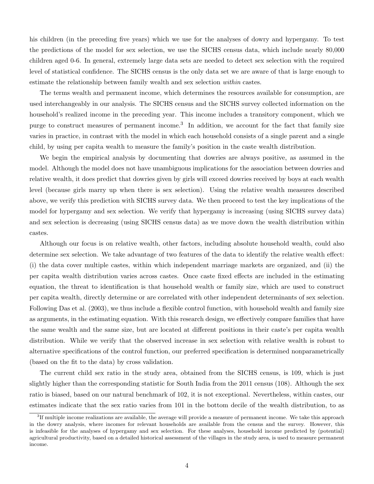his children (in the preceding five years) which we use for the analyses of dowry and hypergamy. To test the predictions of the model for sex selection, we use the SICHS census data, which include nearly 80,000 children aged 0-6. In general, extremely large data sets are needed to detect sex selection with the required level of statistical confidence. The SICHS census is the only data set we are aware of that is large enough to estimate the relationship between family wealth and sex selection within castes.

The terms wealth and permanent income, which determines the resources available for consumption, are used interchangeably in our analysis. The SICHS census and the SICHS survey collected information on the household's realized income in the preceding year. This income includes a transitory component, which we purge to construct measures of permanent income.<sup>3</sup> In addition, we account for the fact that family size varies in practice, in contrast with the model in which each household consists of a single parent and a single child, by using per capita wealth to measure the family's position in the caste wealth distribution.

We begin the empirical analysis by documenting that dowries are always positive, as assumed in the model. Although the model does not have unambiguous implications for the association between dowries and relative wealth, it does predict that dowries given by girls will exceed dowries received by boys at each wealth level (because girls marry up when there is sex selection). Using the relative wealth measures described above, we verify this prediction with SICHS survey data. We then proceed to test the key implications of the model for hypergamy and sex selection. We verify that hypergamy is increasing (using SICHS survey data) and sex selection is decreasing (using SICHS census data) as we move down the wealth distribution within castes.

Although our focus is on relative wealth, other factors, including absolute household wealth, could also determine sex selection. We take advantage of two features of the data to identify the relative wealth effect: (i) the data cover multiple castes, within which independent marriage markets are organized, and (ii) the per capita wealth distribution varies across castes. Once caste fixed effects are included in the estimating equation, the threat to identification is that household wealth or family size, which are used to construct per capita wealth, directly determine or are correlated with other independent determinants of sex selection. Following Das et al. (2003), we thus include a flexible control function, with household wealth and family size as arguments, in the estimating equation. With this research design, we effectively compare families that have the same wealth and the same size, but are located at different positions in their caste's per capita wealth distribution. While we verify that the observed increase in sex selection with relative wealth is robust to alternative specifications of the control function, our preferred specification is determined nonparametrically (based on the fit to the data) by cross validation.

The current child sex ratio in the study area, obtained from the SICHS census, is 109, which is just slightly higher than the corresponding statistic for South India from the 2011 census (108). Although the sex ratio is biased, based on our natural benchmark of 102, it is not exceptional. Nevertheless, within castes, our estimates indicate that the sex ratio varies from 101 in the bottom decile of the wealth distribution, to as

<sup>&</sup>lt;sup>3</sup>If multiple income realizations are available, the average will provide a measure of permanent income. We take this approach in the dowry analysis, where incomes for relevant households are available from the census and the survey. However, this is infeasible for the analyses of hypergamy and sex selection. For these analyses, household income predicted by (potential) agricultural productivity, based on a detailed historical assessment of the villages in the study area, is used to measure permanent income.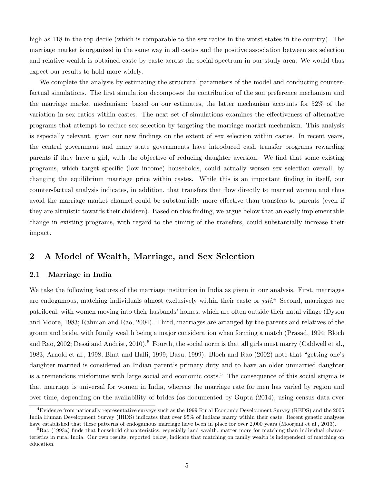high as 118 in the top decile (which is comparable to the sex ratios in the worst states in the country). The marriage market is organized in the same way in all castes and the positive association between sex selection and relative wealth is obtained caste by caste across the social spectrum in our study area. We would thus expect our results to hold more widely.

We complete the analysis by estimating the structural parameters of the model and conducting counterfactual simulations. The first simulation decomposes the contribution of the son preference mechanism and the marriage market mechanism: based on our estimates, the latter mechanism accounts for 52% of the variation in sex ratios within castes. The next set of simulations examines the effectiveness of alternative programs that attempt to reduce sex selection by targeting the marriage market mechanism. This analysis is especially relevant, given our new findings on the extent of sex selection within castes. In recent years, the central government and many state governments have introduced cash transfer programs rewarding parents if they have a girl, with the objective of reducing daughter aversion. We find that some existing programs, which target specific (low income) households, could actually worsen sex selection overall, by changing the equilibrium marriage price within castes. While this is an important finding in itself, our counter-factual analysis indicates, in addition, that transfers that flow directly to married women and thus avoid the marriage market channel could be substantially more effective than transfers to parents (even if they are altruistic towards their children). Based on this finding, we argue below that an easily implementable change in existing programs, with regard to the timing of the transfers, could substantially increase their impact.

## 2 A Model of Wealth, Marriage, and Sex Selection

### 2.1 Marriage in India

We take the following features of the marriage institution in India as given in our analysis. First, marriages are endogamous, matching individuals almost exclusively within their caste or jati.<sup>4</sup> Second, marriages are patrilocal, with women moving into their husbands' homes, which are often outside their natal village (Dyson and Moore, 1983; Rahman and Rao, 2004). Third, marriages are arranged by the parents and relatives of the groom and bride, with family wealth being a major consideration when forming a match (Prasad, 1994; Bloch and Rao, 2002; Desai and Andrist, 2010).<sup>5</sup> Fourth, the social norm is that all girls must marry (Caldwell et al., 1983; Arnold et al., 1998; Bhat and Halli, 1999; Basu, 1999). Bloch and Rao (2002) note that "getting one's daughter married is considered an Indian parent's primary duty and to have an older unmarried daughter is a tremendous misfortune with large social and economic costs." The consequence of this social stigma is that marriage is universal for women in India, whereas the marriage rate for men has varied by region and over time, depending on the availability of brides (as documented by Gupta (2014), using census data over

 $4E$ vidence from nationally representative surveys such as the 1999 Rural Economic Development Survey (REDS) and the 2005 India Human Development Survey (IHDS) indicates that over 95% of Indians marry within their caste. Recent genetic analyses have established that these patterns of endogamous marriage have been in place for over 2,000 years (Moorjani et al., 2013).

<sup>&</sup>lt;sup>5</sup>Rao (1993a) finds that household characteristics, especially land wealth, matter more for matching than individual characteristics in rural India. Our own results, reported below, indicate that matching on family wealth is independent of matching on education.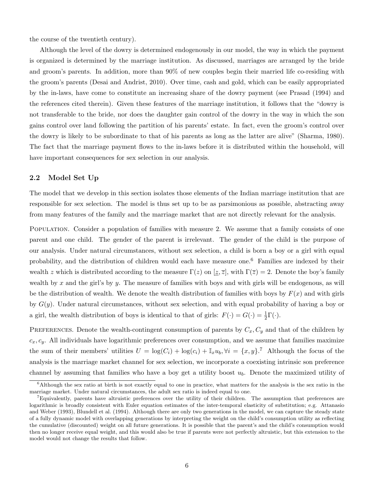the course of the twentieth century).

Although the level of the dowry is determined endogenously in our model, the way in which the payment is organized is determined by the marriage institution. As discussed, marriages are arranged by the bride and groom's parents. In addition, more than 90% of new couples begin their married life co-residing with the groom's parents (Desai and Andrist, 2010). Over time, cash and gold, which can be easily appropriated by the in-laws, have come to constitute an increasing share of the dowry payment (see Prasad (1994) and the references cited therein). Given these features of the marriage institution, it follows that the "dowry is not transferable to the bride, nor does the daughter gain control of the dowry in the way in which the son gains control over land following the partition of his parents' estate. In fact, even the groom's control over the dowry is likely to be subordinate to that of his parents as long as the latter are alive" (Sharma, 1980). The fact that the marriage payment flows to the in-laws before it is distributed within the household, will have important consequences for sex selection in our analysis.

## 2.2 Model Set Up

The model that we develop in this section isolates those elements of the Indian marriage institution that are responsible for sex selection. The model is thus set up to be as parsimonious as possible, abstracting away from many features of the family and the marriage market that are not directly relevant for the analysis.

Population. Consider a population of families with measure 2. We assume that a family consists of one parent and one child. The gender of the parent is irrelevant. The gender of the child is the purpose of our analysis. Under natural circumstances, without sex selection, a child is born a boy or a girl with equal probability, and the distribution of children would each have measure one.<sup>6</sup> Families are indexed by their wealth z which is distributed according to the measure  $\Gamma(z)$  on  $[\underline{z}, \overline{z}]$ , with  $\Gamma(\overline{z}) = 2$ . Denote the boy's family wealth by x and the girl's by y. The measure of families with boys and with girls will be endogenous, as will be the distribution of wealth. We denote the wealth distribution of families with boys by  $F(x)$  and with girls by  $G(y)$ . Under natural circumstances, without sex selection, and with equal probability of having a boy or a girl, the wealth distribution of boys is identical to that of girls:  $F(\cdot) = G(\cdot) = \frac{1}{2}\Gamma(\cdot)$ .

PREFERENCES. Denote the wealth-contingent consumption of parents by  $C_x$ ,  $C_y$  and that of the children by  $c_x, c_y$ . All individuals have logarithmic preferences over consumption, and we assume that families maximize the sum of their members' utilities  $U = \log(C_i) + \log(c_i) + \mathbb{I}_x u_b, \forall i = \{x, y\}.$ <sup>7</sup> Although the focus of the analysis is the marriage market channel for sex selection, we incorporate a coexisting intrinsic son preference channel by assuming that families who have a boy get a utility boost  $u<sub>b</sub>$ . Denote the maximized utility of

 $6$ Although the sex ratio at birth is not exactly equal to one in practice, what matters for the analysis is the sex ratio in the marriage market. Under natural circumstances, the adult sex ratio is indeed equal to one.

<sup>7</sup>Equivalently, parents have altruistic preferences over the utility of their children. The assumption that preferences are logarithmic is broadly consistent with Euler equation estimates of the inter-temporal elasticity of substitution; e.g. Attanasio and Weber (1993), Blundell et al. (1994). Although there are only two generations in the model, we can capture the steady state of a fully dynamic model with overlapping generations by interpreting the weight on the child's consumption utility as reflecting the cumulative (discounted) weight on all future generations. It is possible that the parent's and the child's consumption would then no longer receive equal weight, and this would also be true if parents were not perfectly altruistic, but this extension to the model would not change the results that follow.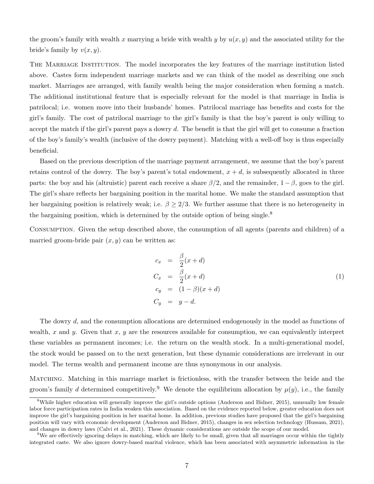the groom's family with wealth x marrying a bride with wealth y by  $u(x, y)$  and the associated utility for the bride's family by  $v(x, y)$ .

THE MARRIAGE INSTITUTION. The model incorporates the key features of the marriage institution listed above. Castes form independent marriage markets and we can think of the model as describing one such market. Marriages are arranged, with family wealth being the major consideration when forming a match. The additional institutional feature that is especially relevant for the model is that marriage in India is patrilocal; i.e. women move into their husbands' homes. Patrilocal marriage has benefits and costs for the girl's family. The cost of patrilocal marriage to the girl's family is that the boy's parent is only willing to accept the match if the girl's parent pays a dowry d. The benefit is that the girl will get to consume a fraction of the boy's family's wealth (inclusive of the dowry payment). Matching with a well-off boy is thus especially beneficial.

Based on the previous description of the marriage payment arrangement, we assume that the boy's parent retains control of the dowry. The boy's parent's total endowment,  $x + d$ , is subsequently allocated in three parts: the boy and his (altruistic) parent each receive a share  $\beta/2$ , and the remainder,  $1 - \beta$ , goes to the girl. The girl's share reflects her bargaining position in the marital home. We make the standard assumption that her bargaining position is relatively weak; i.e.  $\beta \geq 2/3$ . We further assume that there is no heterogeneity in the bargaining position, which is determined by the outside option of being single.<sup>8</sup>

Consumption. Given the setup described above, the consumption of all agents (parents and children) of a married groom-bride pair  $(x, y)$  can be written as:

$$
c_x = \frac{\beta}{2}(x+d)
$$
  
\n
$$
C_x = \frac{\beta}{2}(x+d)
$$
  
\n
$$
c_y = (1-\beta)(x+d)
$$
  
\n
$$
C_y = y-d.
$$
\n(1)

The dowry d, and the consumption allocations are determined endogenously in the model as functions of wealth,  $x$  and  $y$ . Given that  $x, y$  are the resources available for consumption, we can equivalently interpret these variables as permanent incomes; i.e. the return on the wealth stock. In a multi-generational model, the stock would be passed on to the next generation, but these dynamic considerations are irrelevant in our model. The terms wealth and permanent income are thus synonymous in our analysis.

Matching. Matching in this marriage market is frictionless, with the transfer between the bride and the groom's family d determined competitively.<sup>9</sup> We denote the equilibrium allocation by  $\mu(y)$ , i.e., the family

<sup>&</sup>lt;sup>8</sup>While higher education will generally improve the girl's outside options (Anderson and Bidner, 2015), unusually low female labor force participation rates in India weaken this association. Based on the evidence reported below, greater education does not improve the girl's bargaining position in her marital home. In addition, previous studies have proposed that the girl's bargaining position will vary with economic development (Anderson and Bidner, 2015), changes in sex selection technology (Hussam, 2021), and changes in dowry laws (Calvi et al., 2021). These dynamic considerations are outside the scope of our model.

<sup>&</sup>lt;sup>9</sup>We are effectively ignoring delays in matching, which are likely to be small, given that all marriages occur within the tightly integrated caste. We also ignore dowry-based marital violence, which has been associated with asymmetric information in the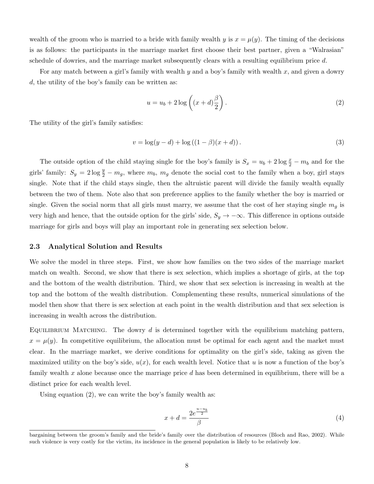wealth of the groom who is married to a bride with family wealth y is  $x = \mu(y)$ . The timing of the decisions is as follows: the participants in the marriage market first choose their best partner, given a "Walrasian" schedule of dowries, and the marriage market subsequently clears with a resulting equilibrium price d.

For any match between a girl's family with wealth y and a boy's family with wealth x, and given a dowry d, the utility of the boy's family can be written as:

$$
u = u_b + 2\log\left((x+d)\frac{\beta}{2}\right). \tag{2}
$$

The utility of the girl's family satisfies:

$$
v = \log(y - d) + \log((1 - \beta)(x + d)).
$$
\n(3)

The outside option of the child staying single for the boy's family is  $S_x = u_b + 2 \log \frac{x}{2} - m_b$  and for the girls' family:  $S_y = 2 \log \frac{y}{2} - m_g$ , where  $m_b$ ,  $m_g$  denote the social cost to the family when a boy, girl stays single. Note that if the child stays single, then the altruistic parent will divide the family wealth equally between the two of them. Note also that son preference applies to the family whether the boy is married or single. Given the social norm that all girls must marry, we assume that the cost of her staying single  $m<sub>g</sub>$  is very high and hence, that the outside option for the girls' side,  $S_y \to -\infty$ . This difference in options outside marriage for girls and boys will play an important role in generating sex selection below.

#### 2.3 Analytical Solution and Results

We solve the model in three steps. First, we show how families on the two sides of the marriage market match on wealth. Second, we show that there is sex selection, which implies a shortage of girls, at the top and the bottom of the wealth distribution. Third, we show that sex selection is increasing in wealth at the top and the bottom of the wealth distribution. Complementing these results, numerical simulations of the model then show that there is sex selection at each point in the wealth distribution and that sex selection is increasing in wealth across the distribution.

EQUILIBRIUM MATCHING. The dowry  $d$  is determined together with the equilibrium matching pattern,  $x = \mu(y)$ . In competitive equilibrium, the allocation must be optimal for each agent and the market must clear. In the marriage market, we derive conditions for optimality on the girl's side, taking as given the maximized utility on the boy's side,  $u(x)$ , for each wealth level. Notice that u is now a function of the boy's family wealth x alone because once the marriage price  $d$  has been determined in equilibrium, there will be a distinct price for each wealth level.

Using equation (2), we can write the boy's family wealth as:

$$
x + d = \frac{2e^{\frac{u - u_b}{2}}}{\beta} \tag{4}
$$

bargaining between the groom's family and the bride's family over the distribution of resources (Bloch and Rao, 2002). While such violence is very costly for the victim, its incidence in the general population is likely to be relatively low.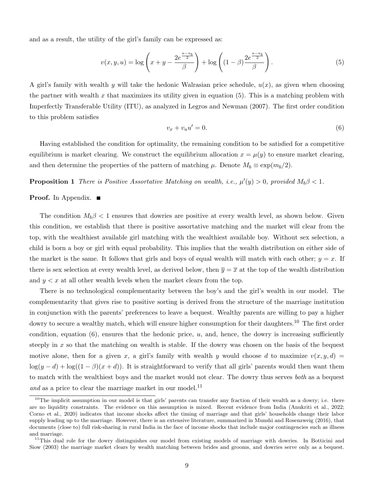and as a result, the utility of the girl's family can be expressed as:

$$
v(x, y, u) = \log \left( x + y - \frac{2e^{\frac{u - u_b}{2}}}{\beta} \right) + \log \left( (1 - \beta) \frac{2e^{\frac{u - u_b}{2}}}{\beta} \right). \tag{5}
$$

A girl's family with wealth y will take the hedonic Walrasian price schedule,  $u(x)$ , as given when choosing the partner with wealth x that maximizes its utility given in equation  $(5)$ . This is a matching problem with Imperfectly Transferable Utility (ITU), as analyzed in Legros and Newman (2007). The first order condition to this problem satisfies

$$
v_x + v_u u' = 0.\t\t(6)
$$

Having established the condition for optimality, the remaining condition to be satisfied for a competitive equilibrium is market clearing. We construct the equilibrium allocation  $x = \mu(y)$  to ensure market clearing, and then determine the properties of the pattern of matching  $\mu$ . Denote  $M_b \equiv \exp(m_b/2)$ .

**Proposition 1** There is Positive Assortative Matching on wealth, i.e.,  $\mu'(y) > 0$ , provided  $M_b \beta < 1$ .

### **Proof.** In Appendix. ■

The condition  $M_b \beta < 1$  ensures that dowries are positive at every wealth level, as shown below. Given this condition, we establish that there is positive assortative matching and the market will clear from the top, with the wealthiest available girl matching with the wealthiest available boy. Without sex selection, a child is born a boy or girl with equal probability. This implies that the wealth distribution on either side of the market is the same. It follows that girls and boys of equal wealth will match with each other;  $y = x$ . If there is sex selection at every wealth level, as derived below, then  $\overline{y} = \overline{x}$  at the top of the wealth distribution and  $y < x$  at all other wealth levels when the market clears from the top.

There is no technological complementarity between the boy's and the girl's wealth in our model. The complementarity that gives rise to positive sorting is derived from the structure of the marriage institution in conjunction with the parents' preferences to leave a bequest. Wealthy parents are willing to pay a higher dowry to secure a wealthy match, which will ensure higher consumption for their daughters.<sup>10</sup> The first order condition, equation  $(6)$ , ensures that the hedonic price, u, and, hence, the dowry is increasing sufficiently steeply in x so that the matching on wealth is stable. If the dowry was chosen on the basis of the bequest motive alone, then for a given x, a girl's family with wealth y would choose d to maximize  $v(x, y, d) =$  $\log(y-d) + \log((1-\beta)(x+d))$ . It is straightforward to verify that all girls' parents would then want them to match with the wealthiest boys and the market would not clear. The dowry thus serves both as a bequest and as a price to clear the marriage market in our model.<sup>11</sup>

 $10$ The implicit assumption in our model is that girls' parents can transfer any fraction of their wealth as a dowry; i.e. there are no liquidity constraints. The evidence on this assumption is mixed. Recent evidence from India (Anukriti et al., 2022; Corno et al., 2020) indicates that income shocks affect the timing of marriage and that girls' households change their labor supply leading up to the marriage. However, there is an extensive literature, summarized in Munshi and Rosenzweig (2016), that documents (close to) full risk-sharing in rural India in the face of income shocks that include major contingencies such as illness and marriage.

<sup>&</sup>lt;sup>11</sup>This dual role for the dowry distinguishes our model from existing models of marriage with dowries. In Botticini and Siow (2003) the marriage market clears by wealth matching between brides and grooms, and dowries serve only as a bequest.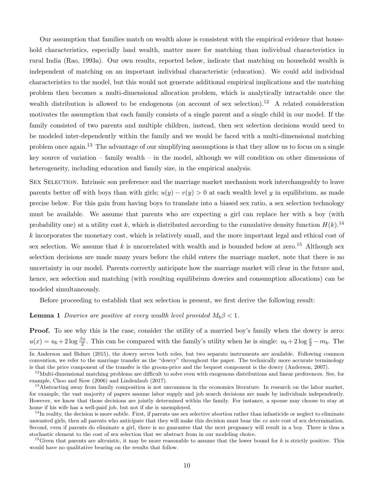Our assumption that families match on wealth alone is consistent with the empirical evidence that household characteristics, especially land wealth, matter more for matching than individual characteristics in rural India (Rao, 1993a). Our own results, reported below, indicate that matching on household wealth is independent of matching on an important individual characteristic (education). We could add individual characteristics to the model, but this would not generate additional empirical implications and the matching problem then becomes a multi-dimensional allocation problem, which is analytically intractable once the wealth distribution is allowed to be endogenous (on account of sex selection).<sup>12</sup> A related consideration motivates the assumption that each family consists of a single parent and a single child in our model. If the family consisted of two parents and multiple children, instead, then sex selection decisions would need to be modeled inter-dependently within the family and we would be faced with a multi-dimensional matching problem once again.<sup>13</sup> The advantage of our simplifying assumptions is that they allow us to focus on a single key source of variation – family wealth – in the model, although we will condition on other dimensions of heterogeneity, including education and family size, in the empirical analysis.

SEX SELECTION. Intrinsic son preference and the marriage market mechanism work interchangeably to leave parents better off with boys than with girls;  $u(y) - v(y) > 0$  at each wealth level y in equilibrium, as made precise below. For this gain from having boys to translate into a biased sex ratio, a sex selection technology must be available. We assume that parents who are expecting a girl can replace her with a boy (with probability one) at a utility cost k, which is distributed according to the cumulative density function  $H(k)$ .<sup>14</sup> k incorporates the monetary cost, which is relatively small, and the more important legal and ethical cost of sex selection. We assume that k is uncorrelated with wealth and is bounded below at zero.<sup>15</sup> Although sex selection decisions are made many years before the child enters the marriage market, note that there is no uncertainty in our model. Parents correctly anticipate how the marriage market will clear in the future and, hence, sex selection and matching (with resulting equilibrium dowries and consumption allocations) can be modeled simultaneously.

Before proceeding to establish that sex selection is present, we first derive the following result:

**Lemma 1** Dowries are positive at every wealth level provided  $M_b \beta < 1$ .

Proof. To see why this is the case, consider the utility of a married boy's family when the dowry is zero:  $u(x) = u_b + 2 \log \frac{\beta x}{2}$ . This can be compared with the family's utility when he is single:  $u_b + 2 \log \frac{x}{2} - m_b$ . The

In Anderson and Bidner (2015), the dowry serves both roles, but two separate instruments are available. Following common convention, we refer to the marriage transfer as the "dowry" throughout the paper. The technically more accurate terminology is that the price component of the transfer is the groom-price and the bequest component is the dowry (Anderson, 2007).

 $12$ Multi-dimensional matching problems are difficult to solve even with exogenous distributions and linear preferences. See, for example, Choo and Siow (2006) and Lindenlaub (2017).

<sup>&</sup>lt;sup>13</sup>Abstracting away from family composition is not uncommon in the economics literature. In research on the labor market, for example, the vast majority of papers assume labor supply and job search decisions are made by individuals independently. However, we know that those decisions are jointly determined within the family. For instance, a spouse may choose to stay at home if his wife has a well-paid job, but not if she is unemployed.

 $14$ In reality, the decision is more subtle. First, if parents use sex selective abortion rather than infanticide or neglect to eliminate unwanted girls, then all parents who anticipate that they will make this decision must bear the ex ante cost of sex determination. Second, even if parents do eliminate a girl, there is no guarantee that the next pregnancy will result in a boy. There is thus a stochastic element to the cost of sex selection that we abstract from in our modeling choice.

<sup>&</sup>lt;sup>15</sup>Given that parents are altruistic, it may be more reasonable to assume that the lower bound for k is strictly positive. This would have no qualitative bearing on the results that follow.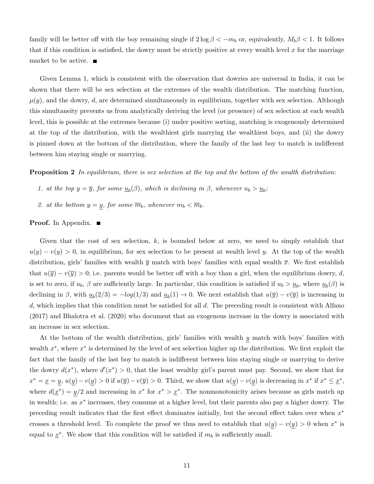family will be better off with the boy remaining single if  $2 \log \beta < -m_b$  or, equivalently,  $M_b \beta < 1$ . It follows that if this condition is satisfied, the dowry must be strictly positive at every wealth level x for the marriage market to be active.

Given Lemma 1, which is consistent with the observation that dowries are universal in India, it can be shown that there will be sex selection at the extremes of the wealth distribution. The matching function,  $\mu(y)$ , and the dowry, d, are determined simultaneously in equilibrium, together with sex selection. Although this simultaneity prevents us from analytically deriving the level (or presence) of sex selection at each wealth level, this is possible at the extremes because (i) under positive sorting, matching is exogenously determined at the top of the distribution, with the wealthiest girls marrying the wealthiest boys, and (ii) the dowry is pinned down at the bottom of the distribution, where the family of the last boy to match is indifferent between him staying single or marrying.

**Proposition 2** In equilibrium, there is sex selection at the top and the bottom of the wealth distribution:

- 1. at the top  $y = \overline{y}$ , for some  $\underline{u}_b(\beta)$ , which is declining in  $\beta$ , whenever  $u_b > \underline{u}_b$ ;
- 2. at the bottom  $y = y$ , for some  $\overline{m}_b$ , whenever  $m_b < \overline{m}_b$ .

## Proof. In Appendix. ■

Given that the cost of sex selection,  $k$ , is bounded below at zero, we need to simply establish that  $u(y) - v(y) > 0$ , in equilibrium, for sex selection to be present at wealth level y. At the top of the wealth distribution, girls' families with wealth  $\bar{y}$  match with boys' families with equal wealth  $\bar{x}$ . We first establish that  $u(\overline{y}) - v(\overline{y}) > 0$ ; i.e. parents would be better off with a boy than a girl, when the equilibrium dowry, d, is set to zero, if  $u_b$ ,  $\beta$  are sufficiently large. In particular, this condition is satisfied if  $u_b > u_b$ , where  $u_b(\beta)$  is declining in  $\beta$ , with  $\underline{u}_b(2/3) = -log(1/3)$  and  $\underline{u}_b(1) \to 0$ . We next establish that  $u(\overline{y}) - v(\overline{y})$  is increasing in d, which implies that this condition must be satisfied for all  $d$ . The preceding result is consistent with Alfano (2017) and Bhalotra et al. (2020) who document that an exogenous increase in the dowry is associated with an increase in sex selection.

At the bottom of the wealth distribution, girls' families with wealth y match with boys' families with wealth  $x^*$ , where  $x^*$  is determined by the level of sex selection higher up the distribution. We first exploit the fact that the family of the last boy to match is indifferent between him staying single or marrying to derive the dowry  $d(x^*)$ , where  $d'(x^*) > 0$ , that the least wealthy girl's parent must pay. Second, we show that for  $x^* = \underline{x} = y, u(y) - v(y) > 0$  if  $u(\overline{y}) - v(\overline{y}) > 0$ . Third, we show that  $u(y) - v(y)$  is decreasing in  $x^*$  if  $x^* \leq \underline{x}^*$ , where  $d(\underline{x}^*) = y/2$  and increasing in  $x^*$  for  $x^* > \underline{x}^*$ . The nonmonotonicity arises because as girls match up in wealth; i.e. as  $x^*$  increases, they consume at a higher level, but their parents also pay a higher dowry. The preceding result indicates that the first effect dominates initially, but the second effect takes over when  $x^*$ crosses a threshold level. To complete the proof we thus need to establish that  $u(y) - v(y) > 0$  when  $x^*$  is equal to  $\underline{x}^*$ . We show that this condition will be satisfied if  $m_b$  is sufficiently small.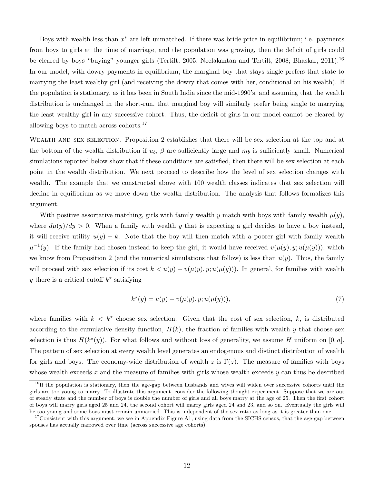Boys with wealth less than  $x^*$  are left unmatched. If there was bride-price in equilibrium; i.e. payments from boys to girls at the time of marriage, and the population was growing, then the deficit of girls could be cleared by boys "buying" younger girls (Tertilt, 2005; Neelakantan and Tertilt, 2008; Bhaskar, 2011).<sup>16</sup> In our model, with dowry payments in equilibrium, the marginal boy that stays single prefers that state to marrying the least wealthy girl (and receiving the dowry that comes with her, conditional on his wealth). If the population is stationary, as it has been in South India since the mid-1990's, and assuming that the wealth distribution is unchanged in the short-run, that marginal boy will similarly prefer being single to marrying the least wealthy girl in any successive cohort. Thus, the deficit of girls in our model cannot be cleared by allowing boys to match across cohorts.<sup>17</sup>

WEALTH AND SEX SELECTION. Proposition 2 establishes that there will be sex selection at the top and at the bottom of the wealth distribution if  $u_b$ ,  $\beta$  are sufficiently large and  $m_b$  is sufficiently small. Numerical simulations reported below show that if these conditions are satisfied, then there will be sex selection at each point in the wealth distribution. We next proceed to describe how the level of sex selection changes with wealth. The example that we constructed above with 100 wealth classes indicates that sex selection will decline in equilibrium as we move down the wealth distribution. The analysis that follows formalizes this argument.

With positive assortative matching, girls with family wealth y match with boys with family wealth  $\mu(y)$ , where  $d\mu(y)/dy > 0$ . When a family with wealth y that is expecting a girl decides to have a boy instead, it will receive utility  $u(y) - k$ . Note that the boy will then match with a poorer girl with family wealth  $\mu^{-1}(y)$ . If the family had chosen instead to keep the girl, it would have received  $v(\mu(y), y; u(\mu(y)))$ , which we know from Proposition 2 (and the numerical simulations that follow) is less than  $u(y)$ . Thus, the family will proceed with sex selection if its cost  $k < u(y) - v(\mu(y), y; u(\mu(y)))$ . In general, for families with wealth y there is a critical cutoff  $k^*$  satisfying

$$
k^*(y) = u(y) - v(\mu(y), y; u(\mu(y))),
$$
\n(7)

where families with  $k \leq k^*$  choose sex selection. Given that the cost of sex selection, k, is distributed according to the cumulative density function,  $H(k)$ , the fraction of families with wealth y that choose sex selection is thus  $H(k^*(y))$ . For what follows and without loss of generality, we assume H uniform on [0, a]. The pattern of sex selection at every wealth level generates an endogenous and distinct distribution of wealth for girls and boys. The economy-wide distribution of wealth z is  $\Gamma(z)$ . The measure of families with boys whose wealth exceeds  $x$  and the measure of families with girls whose wealth exceeds  $y$  can thus be described

 $16$ If the population is stationary, then the age-gap between husbands and wives will widen over successive cohorts until the girls are too young to marry. To illustrate this argument, consider the following thought experiment. Suppose that we are out of steady state and the number of boys is double the number of girls and all boys marry at the age of 25. Then the first cohort of boys will marry girls aged 25 and 24, the second cohort will marry girls aged 24 and 23, and so on. Eventually the girls will be too young and some boys must remain unmarried. This is independent of the sex ratio as long as it is greater than one.

<sup>&</sup>lt;sup>17</sup>Consistent with this argument, we see in Appendix Figure A1, using data from the SICHS census, that the age-gap between spouses has actually narrowed over time (across successive age cohorts).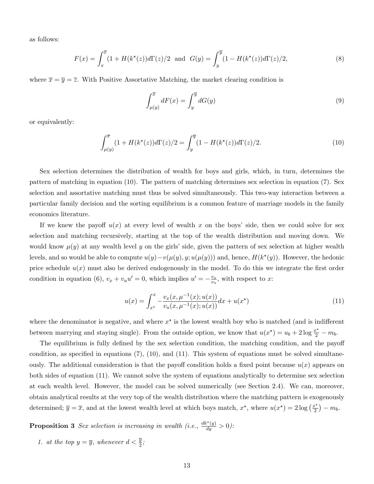as follows:

$$
F(x) = \int_x^{\overline{x}} (1 + H(k^*(z))d\Gamma(z)/2 \text{ and } G(y) = \int_y^{\overline{y}} (1 - H(k^*(z))d\Gamma(z)/2, \tag{8}
$$

where  $\bar{x} = \bar{y} = \bar{z}$ . With Positive Assortative Matching, the market clearing condition is

$$
\int_{\mu(y)}^{\overline{x}} dF(x) = \int_{y}^{\overline{y}} dG(y)
$$
\n(9)

or equivalently:

$$
\int_{\mu(y)}^{\overline{x}} (1 + H(k^*(z))d\Gamma(z)/2 = \int_y^{\overline{y}} (1 - H(k^*(z))d\Gamma(z)/2.
$$
 (10)

Sex selection determines the distribution of wealth for boys and girls, which, in turn, determines the pattern of matching in equation (10). The pattern of matching determines sex selection in equation (7). Sex selection and assortative matching must thus be solved simultaneously. This two-way interaction between a particular family decision and the sorting equilibrium is a common feature of marriage models in the family economics literature.

If we knew the payoff  $u(x)$  at every level of wealth x on the boys' side, then we could solve for sex selection and matching recursively, starting at the top of the wealth distribution and moving down. We would know  $\mu(y)$  at any wealth level y on the girls' side, given the pattern of sex selection at higher wealth levels, and so would be able to compute  $u(y) - v(\mu(y), y; u(\mu(y)))$  and, hence,  $H(k^*(y))$ . However, the hedonic price schedule  $u(x)$  must also be derived endogenously in the model. To do this we integrate the first order condition in equation (6),  $v_x + v_u u' = 0$ , which implies  $u' = -\frac{v_x}{v_u}$  $\frac{v_x}{v_u}$ , with respect to x:

$$
u(x) = \int_{x^*}^x -\frac{v_x(x, \mu^{-1}(x); u(x))}{v_u(x, \mu^{-1}(x); u(x))} dx + u(x^*)
$$
\n(11)

where the denominator is negative, and where  $x^*$  is the lowest wealth boy who is matched (and is indifferent between marrying and staying single). From the outside option, we know that  $u(x^*) = u_b + 2 \log \frac{x^*}{2} - m_b$ .

The equilibrium is fully defined by the sex selection condition, the matching condition, and the payoff condition, as specified in equations (7), (10), and (11). This system of equations must be solved simultaneously. The additional consideration is that the payoff condition holds a fixed point because  $u(x)$  appears on both sides of equation (11). We cannot solve the system of equations analytically to determine sex selection at each wealth level. However, the model can be solved numerically (see Section 2.4). We can, moreover, obtain analytical results at the very top of the wealth distribution where the matching pattern is exogenously determined;  $\overline{y} = \overline{x}$ , and at the lowest wealth level at which boys match,  $x^*$ , where  $u(x^*) = 2 \log \left( \frac{x^*}{2} \right)$  $(\frac{c^*}{2})-m_b.$ 

**Proposition 3** Sex selection is increasing in wealth (i.e.,  $\frac{dk^*(y)}{dy} > 0$ ):

1. at the top  $y = \overline{y}$ , whenever  $d < \frac{\overline{y}}{2}$ ;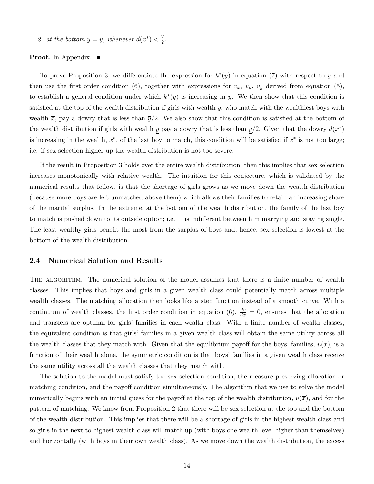2. at the bottom  $y = y$ , whenever  $d(x^*) < \frac{y}{2}$  $rac{y}{2}$ .

### **Proof.** In Appendix.  $\blacksquare$

To prove Proposition 3, we differentiate the expression for  $k^*(y)$  in equation (7) with respect to y and then use the first order condition (6), together with expressions for  $v_x$ ,  $v_y$ ,  $v_y$  derived from equation (5), to establish a general condition under which  $k^*(y)$  is increasing in y. We then show that this condition is satisfied at the top of the wealth distribution if girls with wealth  $\bar{y}$ , who match with the wealthiest boys with wealth  $\bar{x}$ , pay a dowry that is less than  $\bar{y}/2$ . We also show that this condition is satisfied at the bottom of the wealth distribution if girls with wealth y pay a dowry that is less than  $y/2$ . Given that the dowry  $d(x^*)$ is increasing in the wealth,  $x^*$ , of the last boy to match, this condition will be satisfied if  $x^*$  is not too large; i.e. if sex selection higher up the wealth distribution is not too severe.

If the result in Proposition 3 holds over the entire wealth distribution, then this implies that sex selection increases monotonically with relative wealth. The intuition for this conjecture, which is validated by the numerical results that follow, is that the shortage of girls grows as we move down the wealth distribution (because more boys are left unmatched above them) which allows their families to retain an increasing share of the marital surplus. In the extreme, at the bottom of the wealth distribution, the family of the last boy to match is pushed down to its outside option; i.e. it is indifferent between him marrying and staying single. The least wealthy girls benefit the most from the surplus of boys and, hence, sex selection is lowest at the bottom of the wealth distribution.

#### 2.4 Numerical Solution and Results

THE ALGORITHM. The numerical solution of the model assumes that there is a finite number of wealth classes. This implies that boys and girls in a given wealth class could potentially match across multiple wealth classes. The matching allocation then looks like a step function instead of a smooth curve. With a continuum of wealth classes, the first order condition in equation (6),  $\frac{dv}{dx} = 0$ , ensures that the allocation and transfers are optimal for girls' families in each wealth class. With a finite number of wealth classes, the equivalent condition is that girls' families in a given wealth class will obtain the same utility across all the wealth classes that they match with. Given that the equilibrium payoff for the boys' families,  $u(x)$ , is a function of their wealth alone, the symmetric condition is that boys' families in a given wealth class receive the same utility across all the wealth classes that they match with.

The solution to the model must satisfy the sex selection condition, the measure preserving allocation or matching condition, and the payoff condition simultaneously. The algorithm that we use to solve the model numerically begins with an initial guess for the payoff at the top of the wealth distribution,  $u(\overline{x})$ , and for the pattern of matching. We know from Proposition 2 that there will be sex selection at the top and the bottom of the wealth distribution. This implies that there will be a shortage of girls in the highest wealth class and so girls in the next to highest wealth class will match up (with boys one wealth level higher than themselves) and horizontally (with boys in their own wealth class). As we move down the wealth distribution, the excess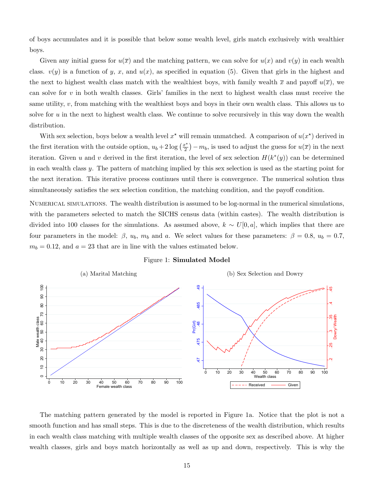of boys accumulates and it is possible that below some wealth level, girls match exclusively with wealthier boys.

Given any initial guess for  $u(\overline{x})$  and the matching pattern, we can solve for  $u(x)$  and  $v(y)$  in each wealth class.  $v(y)$  is a function of y, x, and  $u(x)$ , as specified in equation (5). Given that girls in the highest and the next to highest wealth class match with the wealthiest boys, with family wealth  $\bar{x}$  and payoff  $u(\bar{x})$ , we can solve for  $v$  in both wealth classes. Girls' families in the next to highest wealth class must receive the same utility,  $v$ , from matching with the wealthiest boys and boys in their own wealth class. This allows us to solve for u in the next to highest wealth class. We continue to solve recursively in this way down the wealth distribution.

With sex selection, boys below a wealth level  $x^*$  will remain unmatched. A comparison of  $u(x^*)$  derived in the first iteration with the outside option,  $u_b + 2 \log \left(\frac{x^*}{2}\right)$  $\left(\frac{x^*}{2}\right) - m_b$ , is used to adjust the guess for  $u(\overline{x})$  in the next iteration. Given u and v derived in the first iteration, the level of sex selection  $H(k^*(y))$  can be determined in each wealth class y. The pattern of matching implied by this sex selection is used as the starting point for the next iteration. This iterative process continues until there is convergence. The numerical solution thus simultaneously satisfies the sex selection condition, the matching condition, and the payoff condition.

Numerical simulations. The wealth distribution is assumed to be log-normal in the numerical simulations, with the parameters selected to match the SICHS census data (within castes). The wealth distribution is divided into 100 classes for the simulations. As assumed above,  $k \sim U[0, a]$ , which implies that there are four parameters in the model:  $\beta$ ,  $u_b$ ,  $m_b$  and a. We select values for these parameters:  $\beta = 0.8$ ,  $u_b = 0.7$ ,  $m_b = 0.12$ , and  $a = 23$  that are in line with the values estimated below.



#### Figure 1: Simulated Model

The matching pattern generated by the model is reported in Figure 1a. Notice that the plot is not a smooth function and has small steps. This is due to the discreteness of the wealth distribution, which results in each wealth class matching with multiple wealth classes of the opposite sex as described above. At higher wealth classes, girls and boys match horizontally as well as up and down, respectively. This is why the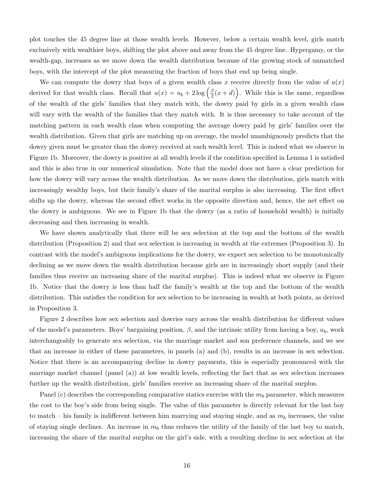plot touches the 45 degree line at those wealth levels. However, below a certain wealth level, girls match exclusively with wealthier boys, shifting the plot above and away from the 45 degree line. Hypergamy, or the wealth-gap, increases as we move down the wealth distribution because of the growing stock of unmatched boys, with the intercept of the plot measuring the fraction of boys that end up being single.

We can compute the dowry that boys of a given wealth class x receive directly from the value of  $u(x)$ derived for that wealth class. Recall that  $u(x) = u_b + 2 \log \left( \frac{\beta}{2} \right)$  $\frac{\beta}{2}(x+d)$ . While this is the same, regardless of the wealth of the girls' families that they match with, the dowry paid by girls in a given wealth class will vary with the wealth of the families that they match with. It is thus necessary to take account of the matching pattern in each wealth class when computing the average dowry paid by girls' families over the wealth distribution. Given that girls are matching up on average, the model unambiguously predicts that the dowry given must be greater than the dowry received at each wealth level. This is indeed what we observe in Figure 1b. Moreover, the dowry is positive at all wealth levels if the condition specified in Lemma 1 is satisfied and this is also true in our numerical simulation. Note that the model does not have a clear prediction for how the dowry will vary across the wealth distribution. As we move down the distribution, girls match with increasingly wealthy boys, but their family's share of the marital surplus is also increasing. The first effect shifts up the dowry, whereas the second effect works in the opposite direction and, hence, the net effect on the dowry is ambiguous. We see in Figure 1b that the dowry (as a ratio of household wealth) is initially decreasing and then increasing in wealth.

We have shown analytically that there will be sex selection at the top and the bottom of the wealth distribution (Proposition 2) and that sex selection is increasing in wealth at the extremes (Proposition 3). In contrast with the model's ambiguous implications for the dowry, we expect sex selection to be monotonically declining as we move down the wealth distribution because girls are in increasingly short supply (and their families thus receive an increasing share of the marital surplus). This is indeed what we observe in Figure 1b. Notice that the dowry is less than half the family's wealth at the top and the bottom of the wealth distribution. This satisfies the condition for sex selection to be increasing in wealth at both points, as derived in Proposition 3.

Figure 2 describes how sex selection and dowries vary across the wealth distribution for different values of the model's parameters. Boys' bargaining position,  $\beta$ , and the intrinsic utility from having a boy,  $u_b$ , work interchangeably to generate sex selection, via the marriage market and son preference channels, and we see that an increase in either of these parameters, in panels (a) and (b), results in an increase in sex selection. Notice that there is an accompanying decline in dowry payments, this is especially pronounced with the marriage market channel (panel (a)) at low wealth levels, reflecting the fact that as sex selection increases further up the wealth distribution, girls' families receive an increasing share of the marital surplus.

Panel (c) describes the corresponding comparative statics exercise with the  $m_b$  parameter, which measures the cost to the boy's side from being single. The value of this parameter is directly relevant for the last boy to match – his family is indifferent between him marrying and staying single, and as  $m_b$  increases, the value of staying single declines. An increase in  $m_b$  thus reduces the utility of the family of the last boy to match, increasing the share of the marital surplus on the girl's side, with a resulting decline in sex selection at the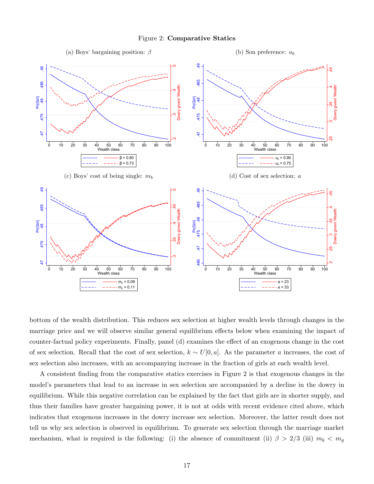



bottom of the wealth distribution. This reduces sex selection at higher wealth levels through changes in the marriage price and we will observe similar general equilibrium effects below when examining the impact of counter-factual policy experiments. Finally, panel (d) examines the effect of an exogenous change in the cost of sex selection. Recall that the cost of sex selection,  $k \sim U[0, a]$ . As the parameter a increases, the cost of sex selection also increases, with an accompanying increase in the fraction of girls at each wealth level.

A consistent finding from the comparative statics exercises in Figure 2 is that exogenous changes in the model's parameters that lead to an increase in sex selection are accompanied by a decline in the dowry in equilibrium. While this negative correlation can be explained by the fact that girls are in shorter supply, and thus their families have greater bargaining power, it is not at odds with recent evidence cited above, which indicates that exogenous increases in the dowry increase sex selection. Moreover, the latter result does not tell us why sex selection is observed in equilibrium. To generate sex selection through the marriage market mechanism, what is required is the following: (i) the absence of commitment (ii)  $\beta > 2/3$  (iii)  $m_b < m_g$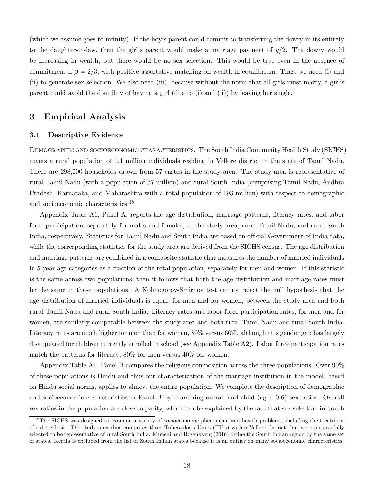(which we assume goes to infinity). If the boy's parent could commit to transferring the dowry in its entirety to the daughter-in-law, then the girl's parent would make a marriage payment of  $y/2$ . The dowry would be increasing in wealth, but there would be no sex selection. This would be true even in the absence of commitment if  $\beta = 2/3$ , with positive assortative matching on wealth in equilibrium. Thus, we need (i) and (ii) to generate sex selection. We also need (iii), because without the norm that all girls must marry, a girl's parent could avoid the disutility of having a girl (due to (i) and (ii)) by leaving her single.

## 3 Empirical Analysis

## 3.1 Descriptive Evidence

DEMOGRAPHIC AND SOCIOECONOMIC CHARACTERISTICS. The South India Community Health Study (SICHS) covers a rural population of 1.1 million individuals residing in Vellore district in the state of Tamil Nadu. There are 298,000 households drawn from 57 castes in the study area. The study area is representative of rural Tamil Nadu (with a population of 37 million) and rural South India (comprising Tamil Nadu, Andhra Pradesh, Karnataka, and Maharashtra with a total population of 193 million) with respect to demographic and socioeconomic characteristics.<sup>18</sup>

Appendix Table A1, Panel A, reports the age distribution, marriage patterns, literacy rates, and labor force participation, separately for males and females, in the study area, rural Tamil Nadu, and rural South India, respectively. Statistics for Tamil Nadu and South India are based on official Government of India data, while the corresponding statistics for the study area are derived from the SICHS census. The age distribution and marriage patterns are combined in a composite statistic that measures the number of married individuals in 5-year age categories as a fraction of the total population, separately for men and women. If this statistic is the same across two populations, then it follows that both the age distribution and marriage rates must be the same in these populations. A Kolmogorov-Smirnov test cannot reject the null hypothesis that the age distribution of married individuals is equal, for men and for women, between the study area and both rural Tamil Nadu and rural South India. Literacy rates and labor force participation rates, for men and for women, are similarly comparable between the study area and both rural Tamil Nadu and rural South India. Literacy rates are much higher for men than for women, 80% versus 60%, although this gender gap has largely disappeared for children currently enrolled in school (see Appendix Table A2). Labor force participation rates match the patterns for literacy; 80% for men versus 40% for women.

Appendix Table A1, Panel B compares the religious composition across the three populations. Over 90% of these populations is Hindu and thus our characterization of the marriage institution in the model, based on Hindu social norms, applies to almost the entire population. We complete the description of demographic and socioeconomic characteristics in Panel B by examining overall and child (aged 0-6) sex ratios. Overall sex ratios in the population are close to parity, which can be explained by the fact that sex selection in South

<sup>&</sup>lt;sup>18</sup>The SICHS was designed to examine a variety of socioeconomic phenomena and health problems, including the treatment of tuberculosis. The study area thus comprises three Tuberculosis Units (TU's) within Vellore district that were purposefully selected to be representative of rural South India. Munshi and Rosenzweig (2016) define the South Indian region by the same set of states. Kerala is excluded from the list of South Indian states because it is an outlier on many socioeconomic characteristics.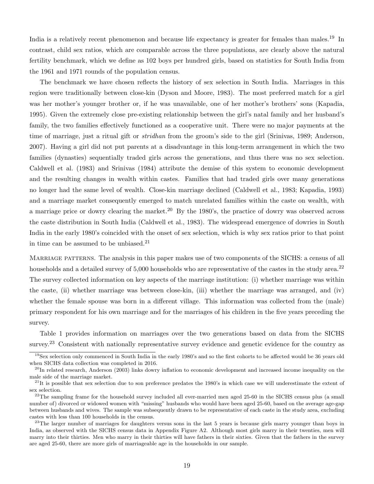India is a relatively recent phenomenon and because life expectancy is greater for females than males.<sup>19</sup> In contrast, child sex ratios, which are comparable across the three populations, are clearly above the natural fertility benchmark, which we define as 102 boys per hundred girls, based on statistics for South India from the 1961 and 1971 rounds of the population census.

The benchmark we have chosen reflects the history of sex selection in South India. Marriages in this region were traditionally between close-kin (Dyson and Moore, 1983). The most preferred match for a girl was her mother's younger brother or, if he was unavailable, one of her mother's brothers' sons (Kapadia, 1995). Given the extremely close pre-existing relationship between the girl's natal family and her husband's family, the two families effectively functioned as a cooperative unit. There were no major payments at the time of marriage, just a ritual gift or stridhan from the groom's side to the girl (Srinivas, 1989; Anderson, 2007). Having a girl did not put parents at a disadvantage in this long-term arrangement in which the two families (dynasties) sequentially traded girls across the generations, and thus there was no sex selection. Caldwell et al. (1983) and Srinivas (1984) attribute the demise of this system to economic development and the resulting changes in wealth within castes. Families that had traded girls over many generations no longer had the same level of wealth. Close-kin marriage declined (Caldwell et al., 1983; Kapadia, 1993) and a marriage market consequently emerged to match unrelated families within the caste on wealth, with a marriage price or dowry clearing the market.<sup>20</sup> By the 1980's, the practice of dowry was observed across the caste distribution in South India (Caldwell et al., 1983). The widespread emergence of dowries in South India in the early 1980's coincided with the onset of sex selection, which is why sex ratios prior to that point in time can be assumed to be unbiased. $21$ 

Marriage patterns. The analysis in this paper makes use of two components of the SICHS: a census of all households and a detailed survey of 5,000 households who are representative of the castes in the study area.<sup>22</sup> The survey collected information on key aspects of the marriage institution: (i) whether marriage was within the caste, (ii) whether marriage was between close-kin, (iii) whether the marriage was arranged, and (iv) whether the female spouse was born in a different village. This information was collected from the (male) primary respondent for his own marriage and for the marriages of his children in the five years preceding the survey.

Table 1 provides information on marriages over the two generations based on data from the SICHS survey.<sup>23</sup> Consistent with nationally representative survey evidence and genetic evidence for the country as

<sup>19</sup>Sex selection only commenced in South India in the early 1980's and so the first cohorts to be affected would be 36 years old when SICHS data collection was completed in 2016.

 $^{20}$ In related research, Anderson (2003) links dowry inflation to economic development and increased income inequality on the male side of the marriage market.

 $^{21}$ It is possible that sex selection due to son preference predates the 1980's in which case we will underestimate the extent of sex selection.

 $^{22}$ The sampling frame for the household survey included all ever-married men aged 25-60 in the SICHS census plus (a small number of) divorced or widowed women with "missing" husbands who would have been aged 25-60, based on the average age-gap between husbands and wives. The sample was subsequently drawn to be representative of each caste in the study area, excluding castes with less than 100 households in the census.

 $^{23}$ The larger number of marriages for daughters versus sons in the last 5 years is because girls marry younger than boys in India, as observed with the SICHS census data in Appendix Figure A2. Although most girls marry in their twenties, men will marry into their thirties. Men who marry in their thirties will have fathers in their sixties. Given that the fathers in the survey are aged 25-60, there are more girls of marriageable age in the households in our sample.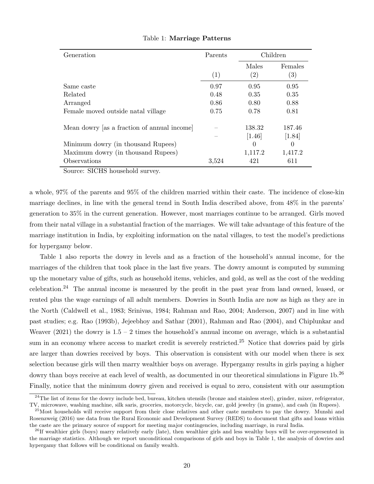| Generation                                  | Parents           | Children          |                   |
|---------------------------------------------|-------------------|-------------------|-------------------|
|                                             |                   | Males             | Females           |
|                                             | $\left( 1\right)$ | $\left( 2\right)$ | $\left( 3\right)$ |
| Same caste                                  | 0.97              | 0.95              | 0.95              |
| Related                                     | 0.48              | 0.35              | 0.35              |
| Arranged                                    | 0.86              | 0.80              | 0.88              |
| Female moved outside natal village          | 0.75              | 0.78              | 0.81              |
| Mean dowry [as a fraction of annual income] |                   | 138.32            | 187.46            |
|                                             |                   | $[1.46]$          | [1.84]            |
| Minimum dowry (in thousand Rupees)          |                   | $\theta$          | $\left($          |
| Maximum dowry (in thousand Rupees)          |                   | 1,117.2           | 1,417.2           |
| Observations                                | 3,524             | 421               | 611               |

#### Table 1: Marriage Patterns

Source: SICHS household survey.

a whole, 97% of the parents and 95% of the children married within their caste. The incidence of close-kin marriage declines, in line with the general trend in South India described above, from 48% in the parents' generation to 35% in the current generation. However, most marriages continue to be arranged. Girls moved from their natal village in a substantial fraction of the marriages. We will take advantage of this feature of the marriage institution in India, by exploiting information on the natal villages, to test the model's predictions for hypergamy below.

Table 1 also reports the dowry in levels and as a fraction of the household's annual income, for the marriages of the children that took place in the last five years. The dowry amount is computed by summing up the monetary value of gifts, such as household items, vehicles, and gold, as well as the cost of the wedding celebration.<sup>24</sup> The annual income is measured by the profit in the past year from land owned, leased, or rented plus the wage earnings of all adult members. Dowries in South India are now as high as they are in the North (Caldwell et al., 1983; Srinivas, 1984; Rahman and Rao, 2004; Anderson, 2007) and in line with past studies; e.g. Rao (1993b), Jejeebhoy and Sathar (2001), Rahman and Rao (2004), and Chiplunkar and Weaver (2021) the dowry is  $1.5 - 2$  times the household's annual income on average, which is a substantial sum in an economy where access to market credit is severely restricted.<sup>25</sup> Notice that dowries paid by girls are larger than dowries received by boys. This observation is consistent with our model when there is sex selection because girls will then marry wealthier boys on average. Hypergamy results in girls paying a higher dowry than boys receive at each level of wealth, as documented in our theoretical simulations in Figure 1b.<sup>26</sup> Finally, notice that the minimum dowry given and received is equal to zero, consistent with our assumption

 $^{24}$ The list of items for the dowry include bed, bureau, kitchen utensils (bronze and stainless steel), grinder, mixer, refrigerator, TV, microwave, washing machine, silk saris, groceries, motorcycle, bicycle, car, gold jewelry (in grams), and cash (in Rupees).

 $^{25}$ Most households will receive support from their close relatives and other caste members to pay the dowry. Munshi and Rosenzweig (2016) use data from the Rural Economic and Development Survey (REDS) to document that gifts and loans within the caste are the primary source of support for meeting major contingencies, including marriage, in rural India.

 $^{26}$ If wealthier girls (boys) marry relatively early (late), then wealthier girls and less wealthy boys will be over-represented in the marriage statistics. Although we report unconditional comparisons of girls and boys in Table 1, the analysis of dowries and hypergamy that follows will be conditional on family wealth.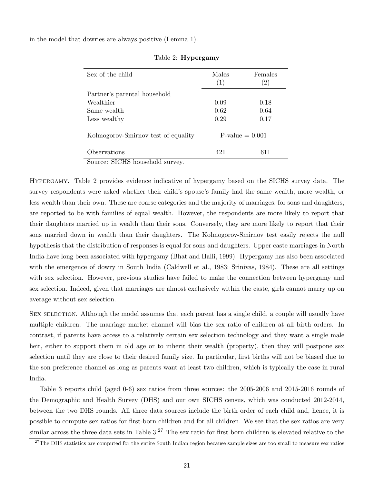in the model that dowries are always positive (Lemma 1).

| Sex of the child                    | Males<br>(1) | Females<br>$^{(2)}$ |
|-------------------------------------|--------------|---------------------|
| Partner's parental household        |              |                     |
| Wealthier                           | 0.09         | 0.18                |
| Same wealth                         | 0.62         | 0.64                |
| Less wealthy                        | 0.29         | 0.17                |
| Kolmogorov-Smirnov test of equality |              | $P-value = 0.001$   |
| Observations                        | 421          | 611                 |
| $\sim$<br>$\alpha$                  |              |                     |

## Table 2: Hypergamy

Source: SICHS household survey.

Hypergamy. Table 2 provides evidence indicative of hypergamy based on the SICHS survey data. The survey respondents were asked whether their child's spouse's family had the same wealth, more wealth, or less wealth than their own. These are coarse categories and the majority of marriages, for sons and daughters, are reported to be with families of equal wealth. However, the respondents are more likely to report that their daughters married up in wealth than their sons. Conversely, they are more likely to report that their sons married down in wealth than their daughters. The Kolmogorov-Smirnov test easily rejects the null hypothesis that the distribution of responses is equal for sons and daughters. Upper caste marriages in North India have long been associated with hypergamy (Bhat and Halli, 1999). Hypergamy has also been associated with the emergence of dowry in South India (Caldwell et al., 1983; Srinivas, 1984). These are all settings with sex selection. However, previous studies have failed to make the connection between hypergamy and sex selection. Indeed, given that marriages are almost exclusively within the caste, girls cannot marry up on average without sex selection.

SEX SELECTION. Although the model assumes that each parent has a single child, a couple will usually have multiple children. The marriage market channel will bias the sex ratio of children at all birth orders. In contrast, if parents have access to a relatively certain sex selection technology and they want a single male heir, either to support them in old age or to inherit their wealth (property), then they will postpone sex selection until they are close to their desired family size. In particular, first births will not be biased due to the son preference channel as long as parents want at least two children, which is typically the case in rural India.

Table 3 reports child (aged 0-6) sex ratios from three sources: the 2005-2006 and 2015-2016 rounds of the Demographic and Health Survey (DHS) and our own SICHS census, which was conducted 2012-2014, between the two DHS rounds. All three data sources include the birth order of each child and, hence, it is possible to compute sex ratios for first-born children and for all children. We see that the sex ratios are very similar across the three data sets in Table  $3<sup>27</sup>$  The sex ratio for first born children is elevated relative to the

<sup>&</sup>lt;sup>27</sup>The DHS statistics are computed for the entire South Indian region because sample sizes are too small to measure sex ratios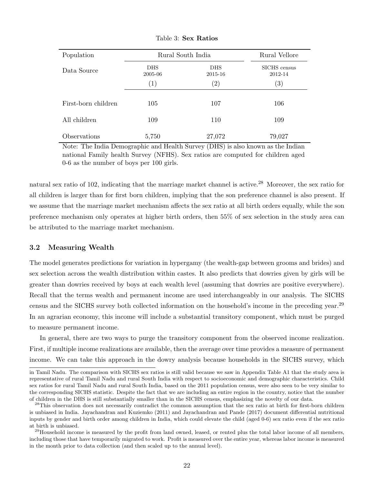| Population          | Rural South India     | Rural Vellore         |                         |
|---------------------|-----------------------|-----------------------|-------------------------|
| Data Source         | <b>DHS</b><br>2005-06 | <b>DHS</b><br>2015-16 | SICHS census<br>2012-14 |
|                     | $\left( 1\right)$     | $\left( 2\right)$     | $\left( 3\right)$       |
| First-born children | 105                   | 107                   | 106                     |
| All children        | 109                   | 110                   | 109                     |
| Observations        | 5,750                 | 27,072                | 79,027                  |

Table 3: Sex Ratios

Note: The India Demographic and Health Survey (DHS) is also known as the Indian national Family health Survey (NFHS). Sex ratios are computed for children aged 0-6 as the number of boys per 100 girls.

natural sex ratio of 102, indicating that the marriage market channel is active.<sup>28</sup> Moreover, the sex ratio for all children is larger than for first born children, implying that the son preference channel is also present. If we assume that the marriage market mechanism affects the sex ratio at all birth orders equally, while the son preference mechanism only operates at higher birth orders, then 55% of sex selection in the study area can be attributed to the marriage market mechanism.

## 3.2 Measuring Wealth

The model generates predictions for variation in hypergamy (the wealth-gap between grooms and brides) and sex selection across the wealth distribution within castes. It also predicts that dowries given by girls will be greater than dowries received by boys at each wealth level (assuming that dowries are positive everywhere). Recall that the terms wealth and permanent income are used interchangeably in our analysis. The SICHS census and the SICHS survey both collected information on the household's income in the preceding year.<sup>29</sup> In an agrarian economy, this income will include a substantial transitory component, which must be purged to measure permanent income.

In general, there are two ways to purge the transitory component from the observed income realization. First, if multiple income realizations are available, then the average over time provides a measure of permanent income. We can take this approach in the dowry analysis because households in the SICHS survey, which

in Tamil Nadu. The comparison with SICHS sex ratios is still valid because we saw in Appendix Table A1 that the study area is representative of rural Tamil Nadu and rural South India with respect to socioeconomic and demographic characteristics. Child sex ratios for rural Tamil Nadu and rural South India, based on the 2011 population census, were also seen to be very similar to the corresponding SICHS statistic. Despite the fact that we are including an entire region in the country, notice that the number of children in the DHS is still substantially smaller than in the SICHS census, emphasizing the novelty of our data.

<sup>&</sup>lt;sup>28</sup>This observation does not necessarily contradict the common assumption that the sex ratio at birth for first-born children is unbiased in India. Jayachandran and Kuziemko (2011) and Jayachandran and Pande (2017) document differential nutritional inputs by gender and birth order among children in India, which could elevate the child (aged 0-6) sex ratio even if the sex ratio at birth is unbiased.

 $^{29}$ Household income is measured by the profit from land owned, leased, or rented plus the total labor income of all members, including those that have temporarily migrated to work. Profit is measured over the entire year, whereas labor income is measured in the month prior to data collection (and then scaled up to the annual level).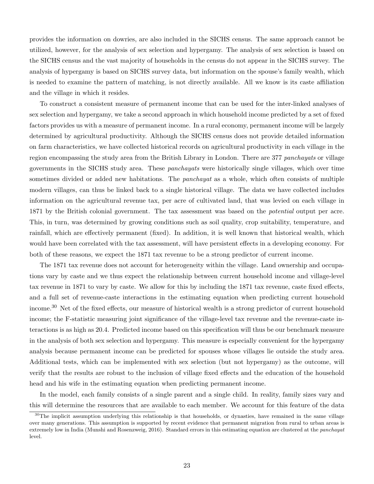provides the information on dowries, are also included in the SICHS census. The same approach cannot be utilized, however, for the analysis of sex selection and hypergamy. The analysis of sex selection is based on the SICHS census and the vast majority of households in the census do not appear in the SICHS survey. The analysis of hypergamy is based on SICHS survey data, but information on the spouse's family wealth, which is needed to examine the pattern of matching, is not directly available. All we know is its caste affiliation and the village in which it resides.

To construct a consistent measure of permanent income that can be used for the inter-linked analyses of sex selection and hypergamy, we take a second approach in which household income predicted by a set of fixed factors provides us with a measure of permanent income. In a rural economy, permanent income will be largely determined by agricultural productivity. Although the SICHS census does not provide detailed information on farm characteristics, we have collected historical records on agricultural productivity in each village in the region encompassing the study area from the British Library in London. There are 377 panchayats or village governments in the SICHS study area. These panchayats were historically single villages, which over time sometimes divided or added new habitations. The *panchayat* as a whole, which often consists of multiple modern villages, can thus be linked back to a single historical village. The data we have collected includes information on the agricultural revenue tax, per acre of cultivated land, that was levied on each village in 1871 by the British colonial government. The tax assessment was based on the *potential* output per acre. This, in turn, was determined by growing conditions such as soil quality, crop suitability, temperature, and rainfall, which are effectively permanent (fixed). In addition, it is well known that historical wealth, which would have been correlated with the tax assessment, will have persistent effects in a developing economy. For both of these reasons, we expect the 1871 tax revenue to be a strong predictor of current income.

The 1871 tax revenue does not account for heterogeneity within the village. Land ownership and occupations vary by caste and we thus expect the relationship between current household income and village-level tax revenue in 1871 to vary by caste. We allow for this by including the 1871 tax revenue, caste fixed effects, and a full set of revenue-caste interactions in the estimating equation when predicting current household income.<sup>30</sup> Net of the fixed effects, our measure of historical wealth is a strong predictor of current household income; the F-statistic measuring joint significance of the village-level tax revenue and the revenue-caste interactions is as high as 20.4. Predicted income based on this specification will thus be our benchmark measure in the analysis of both sex selection and hypergamy. This measure is especially convenient for the hypergamy analysis because permanent income can be predicted for spouses whose villages lie outside the study area. Additional tests, which can be implemented with sex selection (but not hypergamy) as the outcome, will verify that the results are robust to the inclusion of village fixed effects and the education of the household head and his wife in the estimating equation when predicting permanent income.

In the model, each family consists of a single parent and a single child. In reality, family sizes vary and this will determine the resources that are available to each member. We account for this feature of the data

 $30$ The implicit assumption underlying this relationship is that households, or dynasties, have remained in the same village over many generations. This assumption is supported by recent evidence that permanent migration from rural to urban areas is extremely low in India (Munshi and Rosenzweig, 2016). Standard errors in this estimating equation are clustered at the panchayat level.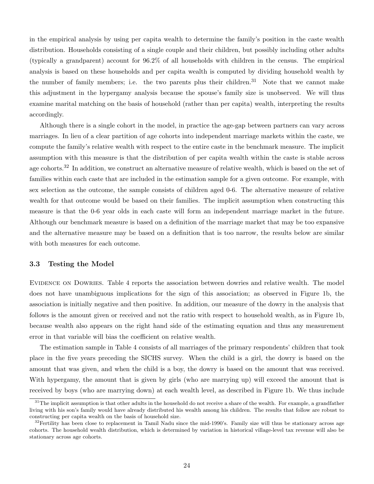in the empirical analysis by using per capita wealth to determine the family's position in the caste wealth distribution. Households consisting of a single couple and their children, but possibly including other adults (typically a grandparent) account for 96.2% of all households with children in the census. The empirical analysis is based on these households and per capita wealth is computed by dividing household wealth by the number of family members; i.e. the two parents plus their children.<sup>31</sup> Note that we cannot make this adjustment in the hypergamy analysis because the spouse's family size is unobserved. We will thus examine marital matching on the basis of household (rather than per capita) wealth, interpreting the results accordingly.

Although there is a single cohort in the model, in practice the age-gap between partners can vary across marriages. In lieu of a clear partition of age cohorts into independent marriage markets within the caste, we compute the family's relative wealth with respect to the entire caste in the benchmark measure. The implicit assumption with this measure is that the distribution of per capita wealth within the caste is stable across age cohorts.<sup>32</sup> In addition, we construct an alternative measure of relative wealth, which is based on the set of families within each caste that are included in the estimation sample for a given outcome. For example, with sex selection as the outcome, the sample consists of children aged 0-6. The alternative measure of relative wealth for that outcome would be based on their families. The implicit assumption when constructing this measure is that the 0-6 year olds in each caste will form an independent marriage market in the future. Although our benchmark measure is based on a definition of the marriage market that may be too expansive and the alternative measure may be based on a definition that is too narrow, the results below are similar with both measures for each outcome.

## 3.3 Testing the Model

EVIDENCE ON DOWRIES. Table 4 reports the association between dowries and relative wealth. The model does not have unambiguous implications for the sign of this association; as observed in Figure 1b, the association is initially negative and then positive. In addition, our measure of the dowry in the analysis that follows is the amount given or received and not the ratio with respect to household wealth, as in Figure 1b, because wealth also appears on the right hand side of the estimating equation and thus any measurement error in that variable will bias the coefficient on relative wealth.

The estimation sample in Table 4 consists of all marriages of the primary respondents' children that took place in the five years preceding the SICHS survey. When the child is a girl, the dowry is based on the amount that was given, and when the child is a boy, the dowry is based on the amount that was received. With hypergamy, the amount that is given by girls (who are marrying up) will exceed the amount that is received by boys (who are marrying down) at each wealth level, as described in Figure 1b. We thus include

 $31$ The implicit assumption is that other adults in the household do not receive a share of the wealth. For example, a grandfather living with his son's family would have already distributed his wealth among his children. The results that follow are robust to constructing per capita wealth on the basis of household size.

 $32$ Fertility has been close to replacement in Tamil Nadu since the mid-1990's. Family size will thus be stationary across age cohorts. The household wealth distribution, which is determined by variation in historical village-level tax revenue will also be stationary across age cohorts.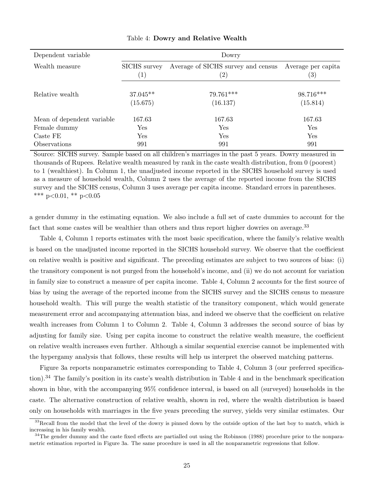| Dependent variable         | Dowry                             |                                                         |                                         |  |  |
|----------------------------|-----------------------------------|---------------------------------------------------------|-----------------------------------------|--|--|
| Wealth measure             | SICHS survey<br>$\left( 1\right)$ | Average of SICHS survey and census<br>$\left( 2\right)$ | Average per capita<br>$\left( 3\right)$ |  |  |
| Relative wealth            | $37.045**$<br>(15.675)            | 79.761***<br>(16.137)                                   | 98.716***<br>(15.814)                   |  |  |
| Mean of dependent variable | 167.63                            | 167.63                                                  | 167.63                                  |  |  |
| Female dummy               | Yes                               | Yes                                                     | ${\rm Yes}$                             |  |  |
| Caste FE                   | Yes                               | Yes                                                     | Yes                                     |  |  |
| <i><b>Observations</b></i> | 991                               | 991                                                     | 991                                     |  |  |

#### Table 4: Dowry and Relative Wealth

Source: SICHS survey. Sample based on all children's marriages in the past 5 years. Dowry measured in thousands of Rupees. Relative wealth measured by rank in the caste wealth distribution, from 0 (poorest) to 1 (wealthiest). In Column 1, the unadjusted income reported in the SICHS household survey is used as a measure of household wealth, Column 2 uses the average of the reported income from the SICHS survey and the SICHS census, Column 3 uses average per capita income. Standard errors in parentheses. \*\*\*  $p<0.01$ , \*\*  $p<0.05$ 

a gender dummy in the estimating equation. We also include a full set of caste dummies to account for the fact that some castes will be wealthier than others and thus report higher dowries on average.<sup>33</sup>

Table 4, Column 1 reports estimates with the most basic specification, where the family's relative wealth is based on the unadjusted income reported in the SICHS household survey. We observe that the coefficient on relative wealth is positive and significant. The preceding estimates are subject to two sources of bias: (i) the transitory component is not purged from the household's income, and (ii) we do not account for variation in family size to construct a measure of per capita income. Table 4, Column 2 accounts for the first source of bias by using the average of the reported income from the SICHS survey and the SICHS census to measure household wealth. This will purge the wealth statistic of the transitory component, which would generate measurement error and accompanying attenuation bias, and indeed we observe that the coefficient on relative wealth increases from Column 1 to Column 2. Table 4, Column 3 addresses the second source of bias by adjusting for family size. Using per capita income to construct the relative wealth measure, the coefficient on relative wealth increases even further. Although a similar sequential exercise cannot be implemented with the hypergamy analysis that follows, these results will help us interpret the observed matching patterns.

Figure 3a reports nonparametric estimates corresponding to Table 4, Column 3 (our preferred specification).<sup>34</sup> The family's position in its caste's wealth distribution in Table 4 and in the benchmark specification shown in blue, with the accompanying 95% confidence interval, is based on all (surveyed) households in the caste. The alternative construction of relative wealth, shown in red, where the wealth distribution is based only on households with marriages in the five years preceding the survey, yields very similar estimates. Our

 $33$ Recall from the model that the level of the dowry is pinned down by the outside option of the last boy to match, which is increasing in his family wealth.

 $34$ The gender dummy and the caste fixed effects are partialled out using the Robinson (1988) procedure prior to the nonparametric estimation reported in Figure 3a. The same procedure is used in all the nonparametric regressions that follow.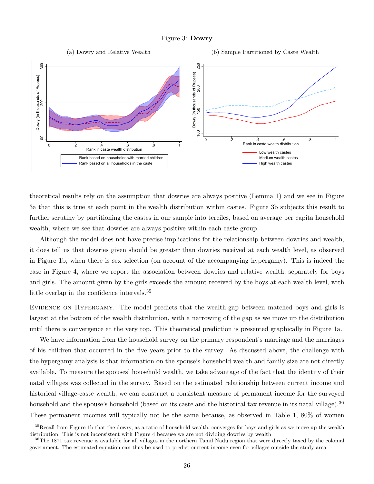



theoretical results rely on the assumption that dowries are always positive (Lemma 1) and we see in Figure 3a that this is true at each point in the wealth distribution within castes. Figure 3b subjects this result to further scrutiny by partitioning the castes in our sample into terciles, based on average per capita household wealth, where we see that dowries are always positive within each caste group.

Although the model does not have precise implications for the relationship between dowries and wealth, it does tell us that dowries given should be greater than dowries received at each wealth level, as observed in Figure 1b, when there is sex selection (on account of the accompanying hypergamy). This is indeed the case in Figure 4, where we report the association between dowries and relative wealth, separately for boys and girls. The amount given by the girls exceeds the amount received by the boys at each wealth level, with little overlap in the confidence intervals.<sup>35</sup>

EVIDENCE ON HYPERGAMY. The model predicts that the wealth-gap between matched boys and girls is largest at the bottom of the wealth distribution, with a narrowing of the gap as we move up the distribution until there is convergence at the very top. This theoretical prediction is presented graphically in Figure 1a.

We have information from the household survey on the primary respondent's marriage and the marriages of his children that occurred in the five years prior to the survey. As discussed above, the challenge with the hypergamy analysis is that information on the spouse's household wealth and family size are not directly available. To measure the spouses' household wealth, we take advantage of the fact that the identity of their natal villages was collected in the survey. Based on the estimated relationship between current income and historical village-caste wealth, we can construct a consistent measure of permanent income for the surveyed household and the spouse's household (based on its caste and the historical tax revenue in its natal village).<sup>36</sup> These permanent incomes will typically not be the same because, as observed in Table 1, 80% of women

 $35$ Recall from Figure 1b that the dowry, as a ratio of household wealth, converges for boys and girls as we move up the wealth distribution. This is not inconsistent with Figure 4 because we are not dividing dowries by wealth

 $36$ The 1871 tax revenue is available for all villages in the northern Tamil Nadu region that were directly taxed by the colonial government. The estimated equation can thus be used to predict current income even for villages outside the study area.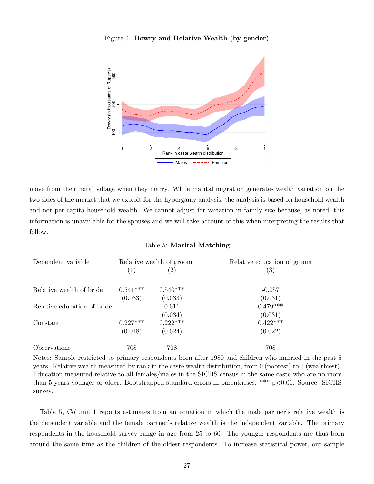

Figure 4: Dowry and Relative Wealth (by gender)

move from their natal village when they marry. While marital migration generates wealth variation on the two sides of the market that we exploit for the hypergamy analysis, the analysis is based on household wealth and not per capita household wealth. We cannot adjust for variation in family size because, as noted, this information is unavailable for the spouses and we will take account of this when interpreting the results that follow.

| Dependent variable          | $\left( 1\right)$ | Relative wealth of groom<br>$\left( 2\right)$ | Relative education of groom<br>$\left( 3\right)$ |
|-----------------------------|-------------------|-----------------------------------------------|--------------------------------------------------|
| Relative wealth of bride    | $0.541***$        | $0.540***$                                    | $-0.057$                                         |
|                             | (0.033)           | (0.033)                                       | (0.031)                                          |
| Relative education of bride |                   | 0.011                                         | $0.479***$                                       |
|                             |                   | (0.034)                                       | (0.031)                                          |
| Constant                    | $0.227***$        | $0.222***$                                    | $0.422***$                                       |
|                             | (0.018)           | (0.024)                                       | (0.022)                                          |
| Observations                | 708               | 708                                           | 708                                              |

Table 5: Marital Matching

Notes: Sample restricted to primary respondents born after 1980 and children who married in the past 5 years. Relative wealth measured by rank in the caste wealth distribution, from 0 (poorest) to 1 (wealthiest). Education measured relative to all females/males in the SICHS census in the same caste who are no more than 5 years younger or older. Bootstrapped standard errors in parentheses. \*\*\* p<0.01. Source: SICHS survey.

Table 5, Column 1 reports estimates from an equation in which the male partner's relative wealth is the dependent variable and the female partner's relative wealth is the independent variable. The primary respondents in the household survey range in age from 25 to 60. The younger respondents are thus born around the same time as the children of the oldest respondents. To increase statistical power, our sample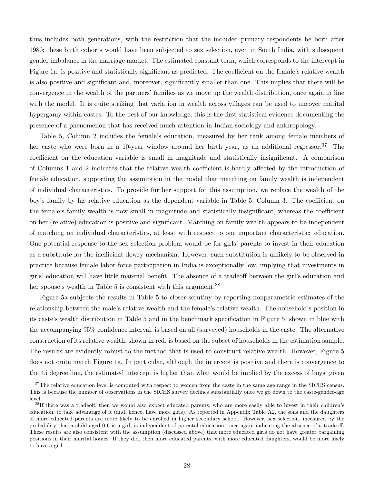thus includes both generations, with the restriction that the included primary respondents be born after 1980; these birth cohorts would have been subjected to sex selection, even in South India, with subsequent gender imbalance in the marriage market. The estimated constant term, which corresponds to the intercept in Figure 1a, is positive and statistically significant as predicted. The coefficient on the female's relative wealth is also positive and significant and, moreover, significantly smaller than one. This implies that there will be convergence in the wealth of the partners' families as we move up the wealth distribution, once again in line with the model. It is quite striking that variation in wealth across villages can be used to uncover marital hypergamy within castes. To the best of our knowledge, this is the first statistical evidence documenting the presence of a phenomenon that has received much attention in Indian sociology and anthropology.

Table 5, Column 2 includes the female's education, measured by her rank among female members of her caste who were born in a 10-year window around her birth year, as an additional regressor.<sup>37</sup> The coefficient on the education variable is small in magnitude and statistically insignificant. A comparison of Columns 1 and 2 indicates that the relative wealth coefficient is hardly affected by the introduction of female education, supporting the assumption in the model that matching on family wealth is independent of individual characteristics. To provide further support for this assumption, we replace the wealth of the boy's family by his relative education as the dependent variable in Table 5, Column 3. The coefficient on the female's family wealth is now small in magnitude and statistically insignificant, whereas the coefficient on her (relative) education is positive and significant. Matching on family wealth appears to be independent of matching on individual characteristics, at least with respect to one important characteristic: education. One potential response to the sex selection problem would be for girls' parents to invest in their education as a substitute for the inefficient dowry mechanism. However, such substitution is unlikely to be observed in practice because female labor force participation in India is exceptionally low, implying that investments in girls' education will have little material benefit. The absence of a tradeoff between the girl's education and her spouse's wealth in Table 5 is consistent with this argument.<sup>38</sup>

Figure 5a subjects the results in Table 5 to closer scrutiny by reporting nonparametric estimates of the relationship between the male's relative wealth and the female's relative wealth. The household's position in its caste's wealth distribution in Table 5 and in the benchmark specification in Figure 5, shown in blue with the accompanying 95% confidence interval, is based on all (surveyed) households in the caste. The alternative construction of its relative wealth, shown in red, is based on the subset of households in the estimation sample. The results are evidently robust to the method that is used to construct relative wealth. However, Figure 5 does not quite match Figure 1a. In particular, although the intercept is positive and there is convergence to the 45 degree line, the estimated intercept is higher than what would be implied by the excess of boys; given

<sup>&</sup>lt;sup>37</sup>The relative education level is computed with respect to women from the caste in the same age range in the SICHS census. This is because the number of observations in the SICHS survey declines substantially once we go down to the caste-gender-age level.

<sup>&</sup>lt;sup>38</sup>If there was a tradeoff, then we would also expect educated parents, who are more easily able to invest in their children's education, to take advantage of it (and, hence, have more girls). As reported in Appendix Table A2, the sons and the daughters of more educated parents are more likely to be enrolled in higher secondary school. However, sex selection, measured by the probability that a child aged 0-6 is a girl, is independent of parental education, once again indicating the absence of a tradeoff. These results are also consistent with the assumption (discussed above) that more educated girls do not have greater bargaining positions in their marital homes. If they did, then more educated parents, with more educated daughters, would be more likely to have a girl.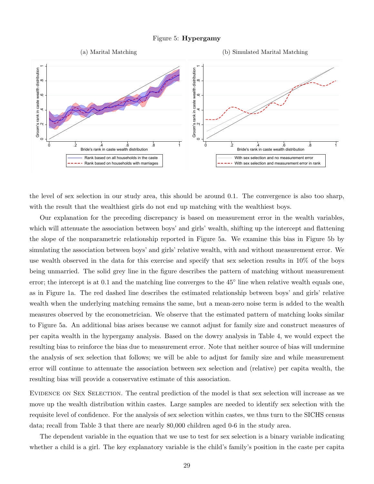

the level of sex selection in our study area, this should be around 0.1. The convergence is also too sharp, with the result that the wealthiest girls do not end up matching with the wealthiest boys.

Our explanation for the preceding discrepancy is based on measurement error in the wealth variables, which will attenuate the association between boys' and girls' wealth, shifting up the intercept and flattening the slope of the nonparametric relationship reported in Figure 5a. We examine this bias in Figure 5b by simulating the association between boys' and girls' relative wealth, with and without measurement error. We use wealth observed in the data for this exercise and specify that sex selection results in 10% of the boys being unmarried. The solid grey line in the figure describes the pattern of matching without measurement error; the intercept is at 0.1 and the matching line converges to the 45<sup>°</sup> line when relative wealth equals one, as in Figure 1a. The red dashed line describes the estimated relationship between boys' and girls' relative wealth when the underlying matching remains the same, but a mean-zero noise term is added to the wealth measures observed by the econometrician. We observe that the estimated pattern of matching looks similar to Figure 5a. An additional bias arises because we cannot adjust for family size and construct measures of per capita wealth in the hypergamy analysis. Based on the dowry analysis in Table 4, we would expect the resulting bias to reinforce the bias due to measurement error. Note that neither source of bias will undermine the analysis of sex selection that follows; we will be able to adjust for family size and while measurement error will continue to attenuate the association between sex selection and (relative) per capita wealth, the resulting bias will provide a conservative estimate of this association.

Evidence on Sex Selection. The central prediction of the model is that sex selection will increase as we move up the wealth distribution within castes. Large samples are needed to identify sex selection with the requisite level of confidence. For the analysis of sex selection within castes, we thus turn to the SICHS census data; recall from Table 3 that there are nearly 80,000 children aged 0-6 in the study area.

The dependent variable in the equation that we use to test for sex selection is a binary variable indicating whether a child is a girl. The key explanatory variable is the child's family's position in the caste per capita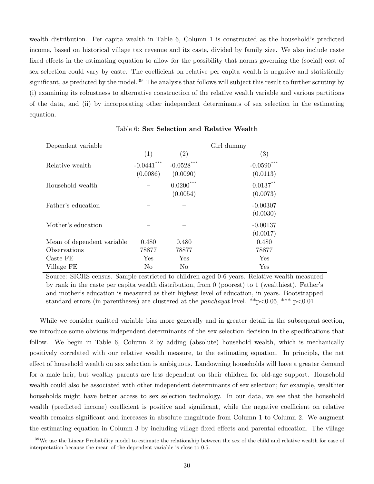wealth distribution. Per capita wealth in Table 6, Column 1 is constructed as the household's predicted income, based on historical village tax revenue and its caste, divided by family size. We also include caste fixed effects in the estimating equation to allow for the possibility that norms governing the (social) cost of sex selection could vary by caste. The coefficient on relative per capita wealth is negative and statistically significant, as predicted by the model.<sup>39</sup> The analysis that follows will subject this result to further scrutiny by (i) examining its robustness to alternative construction of the relative wealth variable and various partitions of the data, and (ii) by incorporating other independent determinants of sex selection in the estimating equation.

| Dependent variable         | Girl dummy               |                          |                                    |
|----------------------------|--------------------------|--------------------------|------------------------------------|
|                            | (1)                      | $\left( 2\right)$        | $\left( 3\right)$                  |
| Relative wealth            | $-0.0441***$<br>(0.0086) | $-0.0528***$<br>(0.0090) | $-0.0590$ <sup>*</sup><br>(0.0113) |
| Household wealth           |                          | $0.0200***$<br>(0.0054)  | $0.0137***$<br>(0.0073)            |
| Father's education         |                          |                          | $-0.00307$<br>(0.0030)             |
| Mother's education         |                          |                          | $-0.00137$<br>(0.0017)             |
| Mean of dependent variable | 0.480                    | 0.480                    | 0.480                              |
| Observations               | 78877                    | 78877                    | 78877                              |
| Caste FE                   | Yes                      | Yes                      | Yes                                |
| Village FE                 | N <sub>o</sub>           | N <sub>o</sub>           | Yes                                |

Table 6: Sex Selection and Relative Wealth

Source: SICHS census. Sample restricted to children aged 0-6 years. Relative wealth measured by rank in the caste per capita wealth distribution, from 0 (poorest) to 1 (wealthiest). Father's and mother's education is measured as their highest level of education, in years. Bootstrapped standard errors (in parentheses) are clustered at the *panchayat* level. \*\*p $<0.05$ , \*\*\* p $<0.01$ 

While we consider omitted variable bias more generally and in greater detail in the subsequent section, we introduce some obvious independent determinants of the sex selection decision in the specifications that follow. We begin in Table 6, Column 2 by adding (absolute) household wealth, which is mechanically positively correlated with our relative wealth measure, to the estimating equation. In principle, the net effect of household wealth on sex selection is ambiguous. Landowning households will have a greater demand for a male heir, but wealthy parents are less dependent on their children for old-age support. Household wealth could also be associated with other independent determinants of sex selection; for example, wealthier households might have better access to sex selection technology. In our data, we see that the household wealth (predicted income) coefficient is positive and significant, while the negative coefficient on relative wealth remains significant and increases in absolute magnitude from Column 1 to Column 2. We augment the estimating equation in Column 3 by including village fixed effects and parental education. The village

<sup>&</sup>lt;sup>39</sup>We use the Linear Probability model to estimate the relationship between the sex of the child and relative wealth for ease of interpretation because the mean of the dependent variable is close to 0.5.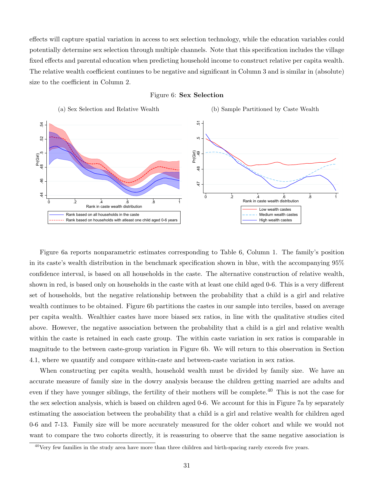effects will capture spatial variation in access to sex selection technology, while the education variables could potentially determine sex selection through multiple channels. Note that this specification includes the village fixed effects and parental education when predicting household income to construct relative per capita wealth. The relative wealth coefficient continues to be negative and significant in Column 3 and is similar in (absolute) size to the coefficient in Column 2.



#### Figure 6: Sex Selection

Figure 6a reports nonparametric estimates corresponding to Table 6, Column 1. The family's position in its caste's wealth distribution in the benchmark specification shown in blue, with the accompanying 95% confidence interval, is based on all households in the caste. The alternative construction of relative wealth, shown in red, is based only on households in the caste with at least one child aged 0-6. This is a very different set of households, but the negative relationship between the probability that a child is a girl and relative wealth continues to be obtained. Figure 6b partitions the castes in our sample into terciles, based on average per capita wealth. Wealthier castes have more biased sex ratios, in line with the qualitative studies cited above. However, the negative association between the probability that a child is a girl and relative wealth within the caste is retained in each caste group. The within caste variation in sex ratios is comparable in magnitude to the between caste-group variation in Figure 6b. We will return to this observation in Section 4.1, where we quantify and compare within-caste and between-caste variation in sex ratios.

When constructing per capita wealth, household wealth must be divided by family size. We have an accurate measure of family size in the dowry analysis because the children getting married are adults and even if they have younger siblings, the fertility of their mothers will be complete.<sup>40</sup> This is not the case for the sex selection analysis, which is based on children aged 0-6. We account for this in Figure 7a by separately estimating the association between the probability that a child is a girl and relative wealth for children aged 0-6 and 7-13. Family size will be more accurately measured for the older cohort and while we would not want to compare the two cohorts directly, it is reassuring to observe that the same negative association is

 $^{40}$ Very few families in the study area have more than three children and birth-spacing rarely exceeds five years.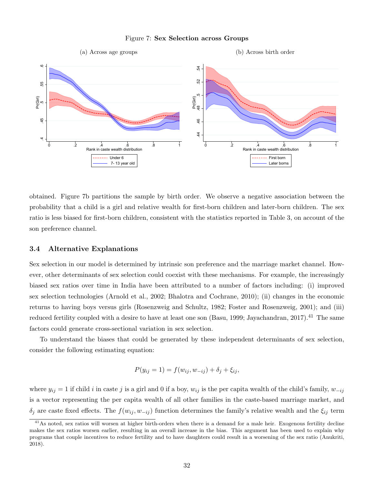#### Figure 7: Sex Selection across Groups



obtained. Figure 7b partitions the sample by birth order. We observe a negative association between the probability that a child is a girl and relative wealth for first-born children and later-born children. The sex ratio is less biased for first-born children, consistent with the statistics reported in Table 3, on account of the son preference channel.

#### 3.4 Alternative Explanations

Sex selection in our model is determined by intrinsic son preference and the marriage market channel. However, other determinants of sex selection could coexist with these mechanisms. For example, the increasingly biased sex ratios over time in India have been attributed to a number of factors including: (i) improved sex selection technologies (Arnold et al., 2002; Bhalotra and Cochrane, 2010); (ii) changes in the economic returns to having boys versus girls (Rosenzweig and Schultz, 1982; Foster and Rosenzweig, 2001); and (iii) reduced fertility coupled with a desire to have at least one son (Basu, 1999; Jayachandran, 2017).<sup>41</sup> The same factors could generate cross-sectional variation in sex selection.

To understand the biases that could be generated by these independent determinants of sex selection, consider the following estimating equation:

$$
P(y_{ij} = 1) = f(w_{ij}, w_{-ij}) + \delta_j + \xi_{ij},
$$

where  $y_{ij} = 1$  if child i in caste j is a girl and 0 if a boy,  $w_{ij}$  is the per capita wealth of the child's family,  $w_{-ij}$ is a vector representing the per capita wealth of all other families in the caste-based marriage market, and  $\delta_j$  are caste fixed effects. The  $f(w_{ij}, w_{-ij})$  function determines the family's relative wealth and the  $\xi_{ij}$  term

<sup>&</sup>lt;sup>41</sup>As noted, sex ratios will worsen at higher birth-orders when there is a demand for a male heir. Exogenous fertility decline makes the sex ratios worsen earlier, resulting in an overall increase in the bias. This argument has been used to explain why programs that couple incentives to reduce fertility and to have daughters could result in a worsening of the sex ratio (Anukriti, 2018).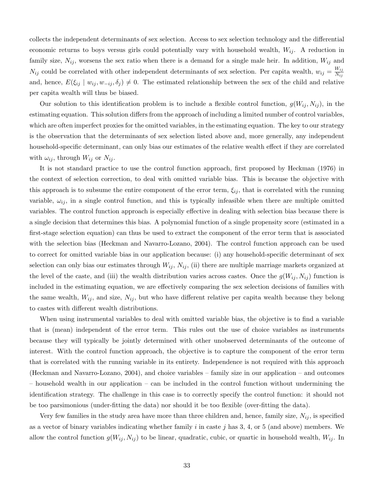collects the independent determinants of sex selection. Access to sex selection technology and the differential economic returns to boys versus girls could potentially vary with household wealth,  $W_{ij}$ . A reduction in family size,  $N_{ij}$ , worsens the sex ratio when there is a demand for a single male heir. In addition,  $W_{ij}$  and  $N_{ij}$  could be correlated with other independent determinants of sex selection. Per capita wealth,  $w_{ij} = \frac{W_{ij}}{N_{ij}}$  $N_{ij}$ and, hence,  $E(\xi_{ij} | w_{ij}, w_{-ij}, \delta_j) \neq 0$ . The estimated relationship between the sex of the child and relative per capita wealth will thus be biased.

Our solution to this identification problem is to include a flexible control function,  $g(W_{ij}, N_{ij})$ , in the estimating equation. This solution differs from the approach of including a limited number of control variables, which are often imperfect proxies for the omitted variables, in the estimating equation. The key to our strategy is the observation that the determinants of sex selection listed above and, more generally, any independent household-specific determinant, can only bias our estimates of the relative wealth effect if they are correlated with  $\omega_{ij}$ , through  $W_{ij}$  or  $N_{ij}$ .

It is not standard practice to use the control function approach, first proposed by Heckman (1976) in the context of selection correction, to deal with omitted variable bias. This is because the objective with this approach is to subsume the entire component of the error term,  $\xi_{ij}$ , that is correlated with the running variable,  $\omega_{ij}$ , in a single control function, and this is typically infeasible when there are multiple omitted variables. The control function approach is especially effective in dealing with selection bias because there is a single decision that determines this bias. A polynomial function of a single propensity score (estimated in a first-stage selection equation) can thus be used to extract the component of the error term that is associated with the selection bias (Heckman and Navarro-Lozano, 2004). The control function approach can be used to correct for omitted variable bias in our application because: (i) any household-specific determinant of sex selection can only bias our estimates through  $W_{ij}$ ,  $N_{ij}$ , (ii) there are multiple marriage markets organized at the level of the caste, and (iii) the wealth distribution varies across castes. Once the  $g(W_{ij}, N_{ij})$  function is included in the estimating equation, we are effectively comparing the sex selection decisions of families with the same wealth,  $W_{ij}$ , and size,  $N_{ij}$ , but who have different relative per capita wealth because they belong to castes with different wealth distributions.

When using instrumental variables to deal with omitted variable bias, the objective is to find a variable that is (mean) independent of the error term. This rules out the use of choice variables as instruments because they will typically be jointly determined with other unobserved determinants of the outcome of interest. With the control function approach, the objective is to capture the component of the error term that is correlated with the running variable in its entirety. Independence is not required with this approach (Heckman and Navarro-Lozano, 2004), and choice variables – family size in our application – and outcomes – household wealth in our application – can be included in the control function without undermining the identification strategy. The challenge in this case is to correctly specify the control function: it should not be too parsimonious (under-fitting the data) nor should it be too flexible (over-fitting the data).

Very few families in the study area have more than three children and, hence, family size,  $N_{ij}$ , is specified as a vector of binary variables indicating whether family i in caste j has  $3, 4$ , or  $5$  (and above) members. We allow the control function  $g(W_{ij}, N_{ij})$  to be linear, quadratic, cubic, or quartic in household wealth,  $W_{ij}$ . In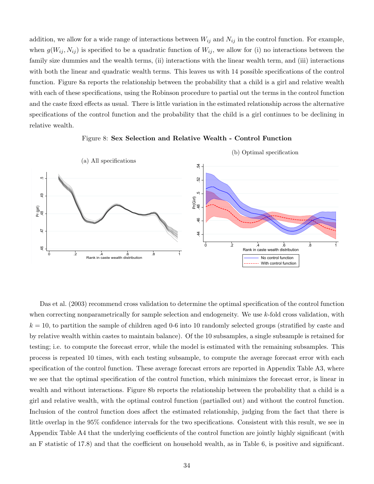addition, we allow for a wide range of interactions between  $W_{ij}$  and  $N_{ij}$  in the control function. For example, when  $g(W_{ij}, N_{ij})$  is specified to be a quadratic function of  $W_{ij}$ , we allow for (i) no interactions between the family size dummies and the wealth terms, (ii) interactions with the linear wealth term, and (iii) interactions with both the linear and quadratic wealth terms. This leaves us with 14 possible specifications of the control function. Figure 8a reports the relationship between the probability that a child is a girl and relative wealth with each of these specifications, using the Robinson procedure to partial out the terms in the control function and the caste fixed effects as usual. There is little variation in the estimated relationship across the alternative specifications of the control function and the probability that the child is a girl continues to be declining in relative wealth.



Figure 8: Sex Selection and Relative Wealth - Control Function

Das et al. (2003) recommend cross validation to determine the optimal specification of the control function when correcting nonparametrically for sample selection and endogeneity. We use  $k$ -fold cross validation, with  $k = 10$ , to partition the sample of children aged 0-6 into 10 randomly selected groups (stratified by caste and by relative wealth within castes to maintain balance). Of the 10 subsamples, a single subsample is retained for testing; i.e. to compute the forecast error, while the model is estimated with the remaining subsamples. This process is repeated 10 times, with each testing subsample, to compute the average forecast error with each specification of the control function. These average forecast errors are reported in Appendix Table A3, where we see that the optimal specification of the control function, which minimizes the forecast error, is linear in wealth and without interactions. Figure 8b reports the relationship between the probability that a child is a girl and relative wealth, with the optimal control function (partialled out) and without the control function. Inclusion of the control function does affect the estimated relationship, judging from the fact that there is little overlap in the 95% confidence intervals for the two specifications. Consistent with this result, we see in Appendix Table A4 that the underlying coefficients of the control function are jointly highly significant (with an F statistic of 17.8) and that the coefficient on household wealth, as in Table 6, is positive and significant.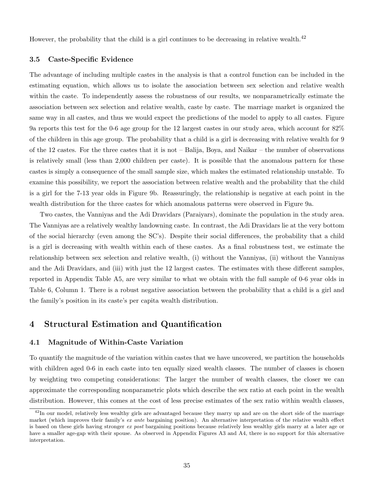However, the probability that the child is a girl continues to be decreasing in relative wealth.<sup>42</sup>

### 3.5 Caste-Specific Evidence

The advantage of including multiple castes in the analysis is that a control function can be included in the estimating equation, which allows us to isolate the association between sex selection and relative wealth within the caste. To independently assess the robustness of our results, we nonparametrically estimate the association between sex selection and relative wealth, caste by caste. The marriage market is organized the same way in all castes, and thus we would expect the predictions of the model to apply to all castes. Figure 9a reports this test for the 0-6 age group for the 12 largest castes in our study area, which account for 82% of the children in this age group. The probability that a child is a girl is decreasing with relative wealth for 9 of the 12 castes. For the three castes that it is not – Balija, Boya, and Naikar – the number of observations is relatively small (less than 2,000 children per caste). It is possible that the anomalous pattern for these castes is simply a consequence of the small sample size, which makes the estimated relationship unstable. To examine this possibility, we report the association between relative wealth and the probability that the child is a girl for the 7-13 year olds in Figure 9b. Reassuringly, the relationship is negative at each point in the wealth distribution for the three castes for which anomalous patterns were observed in Figure 9a.

Two castes, the Vanniyas and the Adi Dravidars (Paraiyars), dominate the population in the study area. The Vanniyas are a relatively wealthy landowning caste. In contrast, the Adi Dravidars lie at the very bottom of the social hierarchy (even among the SC's). Despite their social differences, the probability that a child is a girl is decreasing with wealth within each of these castes. As a final robustness test, we estimate the relationship between sex selection and relative wealth, (i) without the Vanniyas, (ii) without the Vanniyas and the Adi Dravidars, and (iii) with just the 12 largest castes. The estimates with these different samples, reported in Appendix Table A5, are very similar to what we obtain with the full sample of 0-6 year olds in Table 6, Column 1. There is a robust negative association between the probability that a child is a girl and the family's position in its caste's per capita wealth distribution.

## 4 Structural Estimation and Quantification

## 4.1 Magnitude of Within-Caste Variation

To quantify the magnitude of the variation within castes that we have uncovered, we partition the households with children aged 0-6 in each caste into ten equally sized wealth classes. The number of classes is chosen by weighting two competing considerations: The larger the number of wealth classes, the closer we can approximate the corresponding nonparametric plots which describe the sex ratio at each point in the wealth distribution. However, this comes at the cost of less precise estimates of the sex ratio within wealth classes,

 $^{42}$ In our model, relatively less wealthy girls are advantaged because they marry up and are on the short side of the marriage market (which improves their family's ex ante bargaining position). An alternative interpretation of the relative wealth effect is based on these girls having stronger ex post bargaining positions because relatively less wealthy girls marry at a later age or have a smaller age-gap with their spouse. As observed in Appendix Figures A3 and A4, there is no support for this alternative interpretation.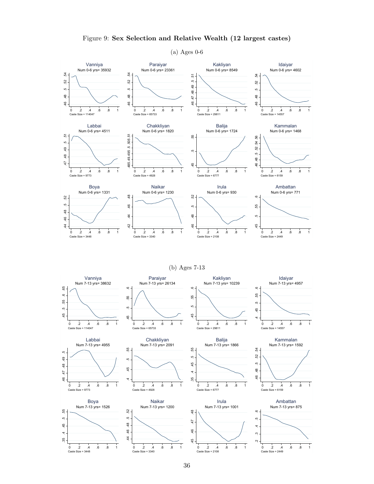

## Figure 9: Sex Selection and Relative Wealth (12 largest castes)

(a) Ages 0-6

(b) Ages 7-13

.45 .5 .55 .6

ŗò,

45

55

 $\circ$  .







Paraiyar



τó



Caste Size = 6777

Num 7-13 yrs= 10239 Kakliyan









0 .2 .4 .6 .8 1

Caste Size = 3448





0 .2 .4 .6 .8 1

.45 .46 .47 .48

 $46$ 

45

 $47$ 

 $\frac{8}{4}$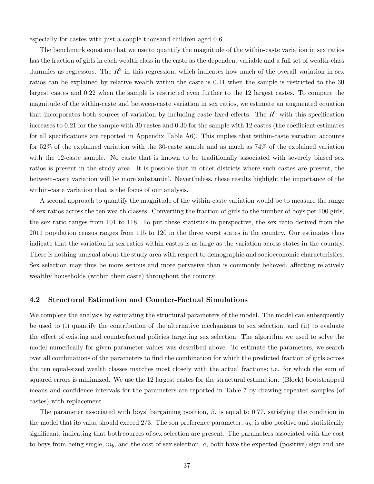especially for castes with just a couple thousand children aged 0-6.

The benchmark equation that we use to quantify the magnitude of the within-caste variation in sex ratios has the fraction of girls in each wealth class in the caste as the dependent variable and a full set of wealth-class dummies as regressors. The  $R^2$  in this regression, which indicates how much of the overall variation in sex ratios can be explained by relative wealth within the caste is 0.11 when the sample is restricted to the 30 largest castes and 0.22 when the sample is restricted even further to the 12 largest castes. To compare the magnitude of the within-caste and between-caste variation in sex ratios, we estimate an augmented equation that incorporates both sources of variation by including caste fixed effects. The  $R^2$  with this specification increases to 0.21 for the sample with 30 castes and 0.30 for the sample with 12 castes (the coefficient estimates for all specifications are reported in Appendix Table A6). This implies that within-caste variation accounts for 52% of the explained variation with the 30-caste sample and as much as 74% of the explained variation with the 12-caste sample. No caste that is known to be traditionally associated with severely biased sex ratios is present in the study area. It is possible that in other districts where such castes are present, the between-caste variation will be more substantial. Nevertheless, these results highlight the importance of the within-caste variation that is the focus of our analysis.

A second approach to quantify the magnitude of the within-caste variation would be to measure the range of sex ratios across the ten wealth classes. Converting the fraction of girls to the number of boys per 100 girls, the sex ratio ranges from 101 to 118. To put these statistics in perspective, the sex ratio derived from the 2011 population census ranges from 115 to 120 in the three worst states in the country. Our estimates thus indicate that the variation in sex ratios within castes is as large as the variation across states in the country. There is nothing unusual about the study area with respect to demographic and socioeconomic characteristics. Sex selection may thus be more serious and more pervasive than is commonly believed, affecting relatively wealthy households (within their caste) throughout the country.

#### 4.2 Structural Estimation and Counter-Factual Simulations

We complete the analysis by estimating the structural parameters of the model. The model can subsequently be used to (i) quantify the contribution of the alternative mechanisms to sex selection, and (ii) to evaluate the effect of existing and counterfactual policies targeting sex selection. The algorithm we used to solve the model numerically for given parameter values was described above. To estimate the parameters, we search over all combinations of the parameters to find the combination for which the predicted fraction of girls across the ten equal-sized wealth classes matches most closely with the actual fractions; i.e. for which the sum of squared errors is minimized. We use the 12 largest castes for the structural estimation. (Block) bootstrapped means and confidence intervals for the parameters are reported in Table 7 by drawing repeated samples (of castes) with replacement.

The parameter associated with boys' bargaining position,  $\beta$ , is equal to 0.77, satisfying the condition in the model that its value should exceed  $2/3$ . The son preference parameter,  $u<sub>b</sub>$ , is also positive and statistically significant, indicating that both sources of sex selection are present. The parameters associated with the cost to boys from being single,  $m_b$ , and the cost of sex selection, a, both have the expected (positive) sign and are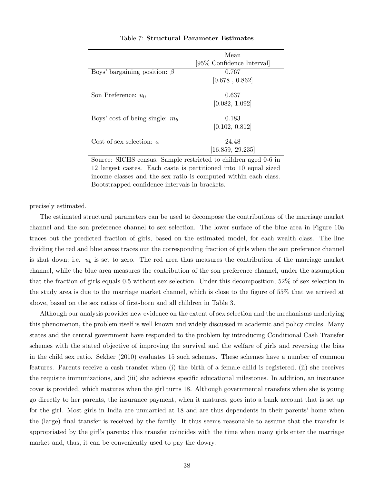|                                            | Mean<br>[95\% Confidence Interval] |
|--------------------------------------------|------------------------------------|
| Boys' bargaining position: $\beta$         | 0.767<br>[0.678, 0.862]            |
| Son Preference: $u_0$                      | 0.637<br>[0.082, 1.092]            |
| Boys' cost of being single: $m_b$          | 0.183<br>[0.102, 0.812]            |
| Cost of sex selection: $a$                 | 24.48<br>[16.859, 29.235]          |
| $\sim$<br>$\alpha$ tatr $\alpha$<br>$\sim$ | $\blacksquare$<br>$1 \cap \alpha$  |

### Table 7: Structural Parameter Estimates

Source: SICHS census. Sample restricted to children aged 0-6 in 12 largest castes. Each caste is partitioned into 10 equal sized income classes and the sex ratio is computed within each class. Bootstrapped confidence intervals in brackets.

precisely estimated.

The estimated structural parameters can be used to decompose the contributions of the marriage market channel and the son preference channel to sex selection. The lower surface of the blue area in Figure 10a traces out the predicted fraction of girls, based on the estimated model, for each wealth class. The line dividing the red and blue areas traces out the corresponding fraction of girls when the son preference channel is shut down; i.e.  $u_b$  is set to zero. The red area thus measures the contribution of the marriage market channel, while the blue area measures the contribution of the son preference channel, under the assumption that the fraction of girls equals 0.5 without sex selection. Under this decomposition, 52% of sex selection in the study area is due to the marriage market channel, which is close to the figure of 55% that we arrived at above, based on the sex ratios of first-born and all children in Table 3.

Although our analysis provides new evidence on the extent of sex selection and the mechanisms underlying this phenomenon, the problem itself is well known and widely discussed in academic and policy circles. Many states and the central government have responded to the problem by introducing Conditional Cash Transfer schemes with the stated objective of improving the survival and the welfare of girls and reversing the bias in the child sex ratio. Sekher (2010) evaluates 15 such schemes. These schemes have a number of common features. Parents receive a cash transfer when (i) the birth of a female child is registered, (ii) she receives the requisite immunizations, and (iii) she achieves specific educational milestones. In addition, an insurance cover is provided, which matures when the girl turns 18. Although governmental transfers when she is young go directly to her parents, the insurance payment, when it matures, goes into a bank account that is set up for the girl. Most girls in India are unmarried at 18 and are thus dependents in their parents' home when the (large) final transfer is received by the family. It thus seems reasonable to assume that the transfer is appropriated by the girl's parents; this transfer coincides with the time when many girls enter the marriage market and, thus, it can be conveniently used to pay the dowry.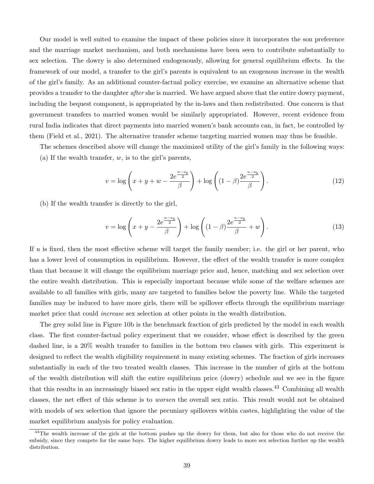Our model is well suited to examine the impact of these policies since it incorporates the son preference and the marriage market mechanism, and both mechanisms have been seen to contribute substantially to sex selection. The dowry is also determined endogenously, allowing for general equilibrium effects. In the framework of our model, a transfer to the girl's parents is equivalent to an exogenous increase in the wealth of the girl's family. As an additional counter-factual policy exercise, we examine an alternative scheme that provides a transfer to the daughter after she is married. We have argued above that the entire dowry payment, including the bequest component, is appropriated by the in-laws and then redistributed. One concern is that government transfers to married women would be similarly appropriated. However, recent evidence from rural India indicates that direct payments into married women's bank accounts can, in fact, be controlled by them (Field et al., 2021). The alternative transfer scheme targeting married women may thus be feasible.

The schemes described above will change the maximized utility of the girl's family in the following ways: (a) If the wealth transfer,  $w$ , is to the girl's parents,

$$
v = \log\left(x + y + w - \frac{2e^{\frac{u - u_b}{2}}}{\beta}\right) + \log\left((1 - \beta)\frac{2e^{\frac{u - u_b}{2}}}{\beta}\right).
$$
 (12)

(b) If the wealth transfer is directly to the girl,

$$
v = \log\left(x + y - \frac{2e^{\frac{u - u_b}{2}}}{\beta}\right) + \log\left((1 - \beta)\frac{2e^{\frac{u - u_b}{2}}}{\beta} + w\right).
$$
 (13)

If  $u$  is fixed, then the most effective scheme will target the family member; i.e. the girl or her parent, who has a lower level of consumption in equilibrium. However, the effect of the wealth transfer is more complex than that because it will change the equilibrium marriage price and, hence, matching and sex selection over the entire wealth distribution. This is especially important because while some of the welfare schemes are available to all families with girls, many are targeted to families below the poverty line. While the targeted families may be induced to have more girls, there will be spillover effects through the equilibrium marriage market price that could increase sex selection at other points in the wealth distribution.

The grey solid line in Figure 10b is the benchmark fraction of girls predicted by the model in each wealth class. The first counter-factual policy experiment that we consider, whose effect is described by the green dashed line, is a 20% wealth transfer to families in the bottom two classes with girls. This experiment is designed to reflect the wealth eligibility requirement in many existing schemes. The fraction of girls increases substantially in each of the two treated wealth classes. This increase in the number of girls at the bottom of the wealth distribution will shift the entire equilibrium price (dowry) schedule and we see in the figure that this results in an increasingly biased sex ratio in the upper eight wealth classes.<sup>43</sup> Combining all wealth classes, the net effect of this scheme is to worsen the overall sex ratio. This result would not be obtained with models of sex selection that ignore the pecuniary spillovers within castes, highlighting the value of the market equilibrium analysis for policy evaluation.

<sup>&</sup>lt;sup>43</sup>The wealth increase of the girls at the bottom pushes up the dowry for them, but also for those who do not receive the subsidy, since they compete for the same boys. The higher equilibrium dowry leads to more sex selection further up the wealth distribution.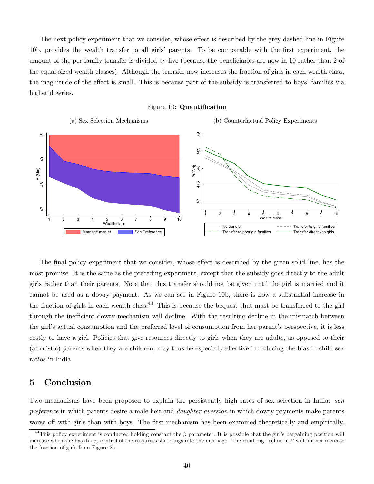The next policy experiment that we consider, whose effect is described by the grey dashed line in Figure 10b, provides the wealth transfer to all girls' parents. To be comparable with the first experiment, the amount of the per family transfer is divided by five (because the beneficiaries are now in 10 rather than 2 of the equal-sized wealth classes). Although the transfer now increases the fraction of girls in each wealth class, the magnitude of the effect is small. This is because part of the subsidy is transferred to boys' families via higher dowries.





The final policy experiment that we consider, whose effect is described by the green solid line, has the most promise. It is the same as the preceding experiment, except that the subsidy goes directly to the adult girls rather than their parents. Note that this transfer should not be given until the girl is married and it cannot be used as a dowry payment. As we can see in Figure 10b, there is now a substantial increase in the fraction of girls in each wealth class.<sup>44</sup> This is because the bequest that must be transferred to the girl through the inefficient dowry mechanism will decline. With the resulting decline in the mismatch between the girl's actual consumption and the preferred level of consumption from her parent's perspective, it is less costly to have a girl. Policies that give resources directly to girls when they are adults, as opposed to their (altruistic) parents when they are children, may thus be especially effective in reducing the bias in child sex ratios in India.

## 5 Conclusion

Two mechanisms have been proposed to explain the persistently high rates of sex selection in India: son preference in which parents desire a male heir and *daughter aversion* in which dowry payments make parents worse off with girls than with boys. The first mechanism has been examined theoretically and empirically.

<sup>&</sup>lt;sup>44</sup>This policy experiment is conducted holding constant the  $\beta$  parameter. It is possible that the girl's bargaining position will increase when she has direct control of the resources she brings into the marriage. The resulting decline in  $\beta$  will further increase the fraction of girls from Figure 2a.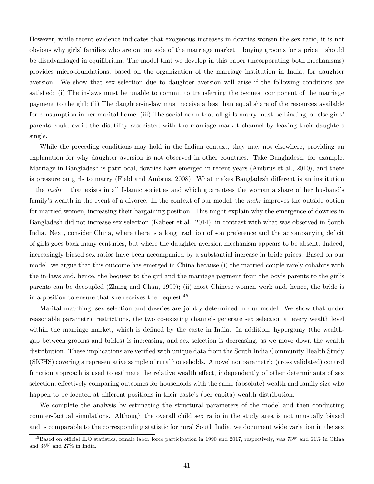However, while recent evidence indicates that exogenous increases in dowries worsen the sex ratio, it is not obvious why girls' families who are on one side of the marriage market – buying grooms for a price – should be disadvantaged in equilibrium. The model that we develop in this paper (incorporating both mechanisms) provides micro-foundations, based on the organization of the marriage institution in India, for daughter aversion. We show that sex selection due to daughter aversion will arise if the following conditions are satisfied: (i) The in-laws must be unable to commit to transferring the bequest component of the marriage payment to the girl; (ii) The daughter-in-law must receive a less than equal share of the resources available for consumption in her marital home; (iii) The social norm that all girls marry must be binding, or else girls' parents could avoid the disutility associated with the marriage market channel by leaving their daughters single.

While the preceding conditions may hold in the Indian context, they may not elsewhere, providing an explanation for why daughter aversion is not observed in other countries. Take Bangladesh, for example. Marriage in Bangladesh is patrilocal, dowries have emerged in recent years (Ambrus et al., 2010), and there is pressure on girls to marry (Field and Ambrus, 2008). What makes Bangladesh different is an institution – the mehr – that exists in all Islamic societies and which guarantees the woman a share of her husband's family's wealth in the event of a divorce. In the context of our model, the mehr improves the outside option for married women, increasing their bargaining position. This might explain why the emergence of dowries in Bangladesh did not increase sex selection (Kabeer et al., 2014), in contrast with what was observed in South India. Next, consider China, where there is a long tradition of son preference and the accompanying deficit of girls goes back many centuries, but where the daughter aversion mechanism appears to be absent. Indeed, increasingly biased sex ratios have been accompanied by a substantial increase in bride prices. Based on our model, we argue that this outcome has emerged in China because (i) the married couple rarely cohabits with the in-laws and, hence, the bequest to the girl and the marriage payment from the boy's parents to the girl's parents can be decoupled (Zhang and Chan, 1999); (ii) most Chinese women work and, hence, the bride is in a position to ensure that she receives the bequest.<sup>45</sup>

Marital matching, sex selection and dowries are jointly determined in our model. We show that under reasonable parametric restrictions, the two co-existing channels generate sex selection at every wealth level within the marriage market, which is defined by the caste in India. In addition, hypergamy (the wealthgap between grooms and brides) is increasing, and sex selection is decreasing, as we move down the wealth distribution. These implications are verified with unique data from the South India Community Health Study (SICHS) covering a representative sample of rural households. A novel nonparametric (cross validated) control function approach is used to estimate the relative wealth effect, independently of other determinants of sex selection, effectively comparing outcomes for households with the same (absolute) wealth and family size who happen to be located at different positions in their caste's (per capita) wealth distribution.

We complete the analysis by estimating the structural parameters of the model and then conducting counter-factual simulations. Although the overall child sex ratio in the study area is not unusually biased and is comparable to the corresponding statistic for rural South India, we document wide variation in the sex

 $^{45}$ Based on official ILO statistics, female labor force participation in 1990 and 2017, respectively, was 73% and 61% in China and 35% and 27% in India.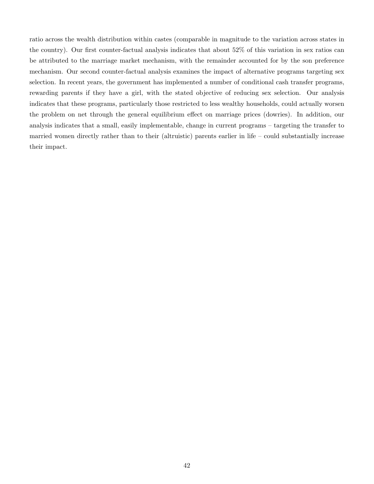ratio across the wealth distribution within castes (comparable in magnitude to the variation across states in the country). Our first counter-factual analysis indicates that about 52% of this variation in sex ratios can be attributed to the marriage market mechanism, with the remainder accounted for by the son preference mechanism. Our second counter-factual analysis examines the impact of alternative programs targeting sex selection. In recent years, the government has implemented a number of conditional cash transfer programs, rewarding parents if they have a girl, with the stated objective of reducing sex selection. Our analysis indicates that these programs, particularly those restricted to less wealthy households, could actually worsen the problem on net through the general equilibrium effect on marriage prices (dowries). In addition, our analysis indicates that a small, easily implementable, change in current programs – targeting the transfer to married women directly rather than to their (altruistic) parents earlier in life – could substantially increase their impact.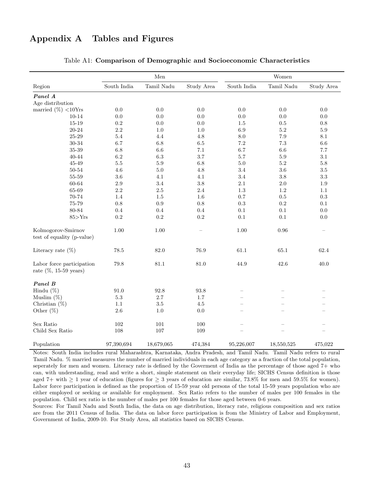# Appendix A Tables and Figures

|                                                        |             | $\operatorname{Men}$ |            |                 | Women      |                          |
|--------------------------------------------------------|-------------|----------------------|------------|-----------------|------------|--------------------------|
| Region                                                 | South India | Tamil Nadu           | Study Area | South India     | Tamil Nadu | Study Area               |
| Panel A                                                |             |                      |            |                 |            |                          |
| Age distribution                                       |             |                      |            |                 |            |                          |
| married $(\%)$ <10Yrs                                  | $0.0\,$     | 0.0                  | 0.0        | 0.0             | 0.0        | 0.0                      |
| $10 - 14$                                              | $0.0\,$     | $0.0\,$              | $0.0\,$    | 0.0             | 0.0        | $0.0\,$                  |
| 15-19                                                  | $0.2\,$     | 0.0                  | 0.0        | 1.5             | 0.5        | 0.8                      |
| 20-24                                                  | 2.2         | 1.0                  | 1.0        | 6.9             | $5.2\,$    | $5.9\,$                  |
| $25 - 29$                                              | $5.4\,$     | 4.4                  | 4.8        | $\!\!\!\!\!8.0$ | 7.9        | $8.1\,$                  |
| 30-34                                                  | 6.7         | 6.8                  | $6.5\,$    | $7.2\,$         | 7.3        | $6.6\,$                  |
| $35 - 39$                                              | 6.8         | $6.6\,$              | $7.1\,$    | 6.7             | $6.6\,$    | 7.7                      |
| $40 - 44$                                              | 6.2         | 6.3                  | 3.7        | 5.7             | 5.9        | 3.1                      |
| 45-49                                                  | $5.5\,$     | $5.9\,$              | 6.8        | 5.0             | $5.2\,$    | 5.8                      |
| 50-54                                                  | $4.6\,$     | $5.0\,$              | 4.8        | 3.4             | 3.6        | $3.5\,$                  |
| 55-59                                                  | $3.6\,$     | 4.1                  | 4.1        | $3.4\,$         | 3.8        | $\!.3$                   |
| 60-64                                                  | $2.9\,$     | 3.4                  | 3.8        | $2.1\,$         | 2.0        | $1.9\,$                  |
| 65-69                                                  | $2.2\,$     | $2.5\,$              | $2.4\,$    | 1.3             | 1.2        | 1.1                      |
| 70-74                                                  | 1.4         | 1.5                  | 1.6        | $0.7\,$         | 0.5        | 0.3                      |
| 75-79                                                  | $0.8\,$     | $\rm 0.9$            | 0.8        | 0.3             | $\rm 0.2$  | 0.1                      |
| 80-84                                                  | 0.4         | 0.4                  | 0.4        | 0.1             | 0.1        | $0.0\,$                  |
| 85 > Yrs                                               | $\rm 0.2$   | 0.2                  | 0.2        | $0.1\,$         | $0.1\,$    | $0.0\,$                  |
| Kolmogorov-Smirnov<br>test of equality (p-value)       | 1.00        | 1.00                 | ÷          | 1.00            | 0.96       | $\overline{\phantom{a}}$ |
| Literacy rate $(\%)$                                   | 78.5        | 82.0                 | 76.9       | 61.1            | 65.1       | 62.4                     |
| Labor force participation<br>rate $(\%$ , 15-59 years) | 79.8        | $81.1\,$             | 81.0       | 44.9            | 42.6       | 40.0                     |
| Panel B                                                |             |                      |            |                 |            |                          |
| Hindu $(\%)$                                           | 91.0        | 92.8                 | 93.8       |                 |            |                          |
| Muslim $(\%)$                                          | $5.3\,$     | $2.7\,$              | $1.7\,$    |                 |            |                          |
| Christian $(\%)$                                       | 1.1         | $3.5\,$              | 4.5        |                 |            |                          |
| Other $(\%)$                                           | $2.6\,$     | 1.0                  | 0.0        |                 |            |                          |
| Sex Ratio                                              | 102         | 101                  | 100        |                 |            |                          |
| Child Sex Ratio                                        | 108         | 107                  | 109        |                 |            |                          |
| Population                                             | 97,390,694  | 18,679,065           | 474,384    | 95,226,007      | 18,550,525 | 475,022                  |

## Table A1: Comparison of Demographic and Socioeconomic Characteristics

Notes: South India includes rural Maharashtra, Karnataka, Andra Pradesh, and Tamil Nadu. Tamil Nadu refers to rural Tamil Nadu. % married measures the number of married individuals in each age category as a fraction of the total population, seperately for men and women. Literacy rate is defined by the Goverment of India as the percentage of those aged 7+ who can, with understanding, read and write a short, simple statement on their everyday life; SICHS Census definition is those aged 7+ with  $\geq 1$  year of education (figures for  $\geq 3$  years of education are similar, 73.8% for men and 59.5% for women). Labor force participation is defined as the proportion of 15-59 year old persons of the total 15-59 years population who are either employed or seeking or available for employment. Sex Ratio refers to the number of males per 100 females in the population. Child sex ratio is the number of males per 100 females for those aged between 0-6 years.

Sources: For Tamil Nadu and South India, the data on age distribution, literacy rate, religious composition and sex ratios are from the 2011 Census of India. The data on labor force participation is from the Ministry of Labor and Employment, Government of India, 2009-10. For Study Area, all statistics based on SICHS Census.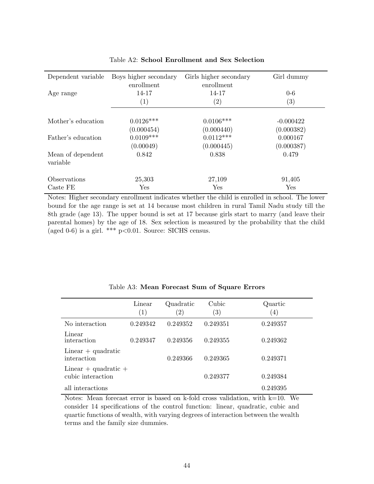| Dependent variable            | Boys higher secondary<br>enrollment | Girls higher secondary<br>enrollment | Girl dummy        |
|-------------------------------|-------------------------------------|--------------------------------------|-------------------|
| Age range                     | 14-17                               | 14-17                                | $0-6$             |
|                               | $\left( 1\right)$                   | $\left( 2\right)$                    | $\left( 3\right)$ |
|                               |                                     |                                      |                   |
| Mother's education            | $0.0126***$                         | $0.0106***$                          | $-0.000422$       |
|                               | (0.000454)                          | (0.000440)                           | (0.000382)        |
| Father's education            | $0.0109***$                         | $0.0112***$                          | 0.000167          |
|                               | (0.00049)                           | (0.000445)                           | (0.000387)        |
| Mean of dependent<br>variable | 0.842                               | 0.838                                | 0.479             |
| Observations                  | 25,303                              | 27,109                               | 91,405            |
| Caste FE                      | Yes                                 | Yes                                  | Yes               |

## Table A2: School Enrollment and Sex Selection

Notes: Higher secondary enrollment indicates whether the child is enrolled in school. The lower bound for the age range is set at 14 because most children in rural Tamil Nadu study till the 8th grade (age 13). The upper bound is set at 17 because girls start to marry (and leave their parental homes) by the age of 18. Sex selection is measured by the probability that the child (aged 0-6) is a girl.  $***$  p<0.01. Source: SICHS census.

|                                               | Linear<br>$\left( 1\right)$ | Quadratic<br>$\left( 2\right)$ | Cubic<br>$\left( 3\right)$ | Quartic<br>$\left( 4\right)$ |
|-----------------------------------------------|-----------------------------|--------------------------------|----------------------------|------------------------------|
| No interaction                                | 0.249342                    | 0.249352                       | 0.249351                   | 0.249357                     |
| Linear<br>interaction                         | 0.249347                    | 0.249356                       | 0.249355                   | 0.249362                     |
| $Linear + quadratic$<br>interaction           |                             | 0.249366                       | 0.249365                   | 0.249371                     |
| Linear $+$ quadratic $+$<br>cubic interaction |                             |                                | 0.249377                   | 0.249384                     |
| all interactions                              |                             |                                |                            | 0.249395                     |

Table A3: Mean Forecast Sum of Square Errors

Notes: Mean forecast error is based on k-fold cross validation, with  $k=10$ . We consider 14 specifications of the control function: linear, quadratic, cubic and quartic functions of wealth, with varying degrees of interaction between the wealth terms and the family size dummies.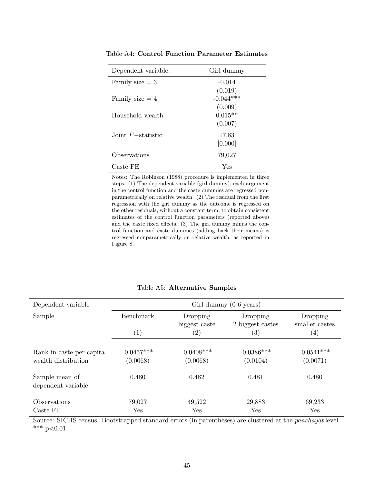| Dependent variable:  | Girl dummy  |
|----------------------|-------------|
| Family size $=$ 3    | $-0.014$    |
|                      | (0.019)     |
| Family size $=4$     | $-0.044***$ |
|                      | (0.009)     |
| Household wealth     | $0.015**$   |
|                      | (0.007)     |
| Joint $F$ -statistic | 17.83       |
|                      | [0.000]     |
| Observations         | 79,027      |
| Caste FE             | Yes         |

Table A4: Control Function Parameter Estimates

Notes: The Robinson (1988) procedure is implemented in three steps. (1) The dependent variable (girl dummy), each argument in the control function and the caste dummies are regressed nonparametrically on relative wealth. (2) The residual from the first regression with the girl dummy as the outcome is regressed on the other residuals, without a constant term, to obtain consistent estimates of the control function parameters (reported above) and the caste fixed effects. (3) The girl dummy minus the control function and caste dummies (adding back their means) is regressed nonparametrically on relative wealth, as reported in Figure 8.

| Dependent variable                              | Girl dummy $(0-6 \text{ years})$              |                           |                          |                          |                              |                            |
|-------------------------------------------------|-----------------------------------------------|---------------------------|--------------------------|--------------------------|------------------------------|----------------------------|
| Sample                                          | <b>Benchmark</b><br>Dropping<br>biggest caste |                           |                          |                          | Dropping<br>2 biggest castes | Dropping<br>smaller castes |
|                                                 | $\left( 1\right)$                             | $\left( 2\right)$         | $\left( 3\right)$        | $\left( 4\right)$        |                              |                            |
| Rank in caste per capita<br>wealth distribution | $-0.0457***$<br>(0.0068)                      | $-0.0408$ ***<br>(0.0068) | $-0.0386***$<br>(0.0104) | $-0.0541***$<br>(0.0071) |                              |                            |
| Sample mean of<br>dependent variable            | 0.480                                         | 0.482                     | 0.481                    | 0.480                    |                              |                            |
| Observations<br>Caste FE                        | 79,027<br>Yes                                 | 49,522<br>Yes             | 29,883<br>Yes            | 69,233<br>Yes            |                              |                            |

Table A5: Alternative Samples

Source: SICHS census. Bootstrapped standard errors (in parentheses) are clustered at the panchayat level. \*\*\*  $p<0.01$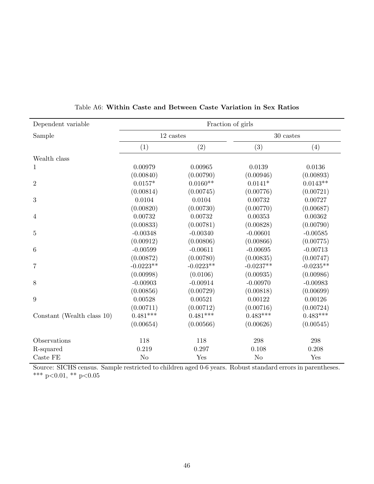| Dependent variable         | Fraction of girls |             |                 |             |
|----------------------------|-------------------|-------------|-----------------|-------------|
| Sample                     | 12 castes         |             | $30\rm\; cases$ |             |
|                            | (1)               | (2)         | (3)             | (4)         |
| Wealth class               |                   |             |                 |             |
| $\mathbf{1}$               | 0.00979           | 0.00965     | 0.0139          | 0.0136      |
|                            | (0.00840)         | (0.00790)   | (0.00946)       | (0.00893)   |
| $\overline{2}$             | $0.0157*$         | $0.0160**$  | $0.0141*$       | $0.0143**$  |
|                            | (0.00814)         | (0.00745)   | (0.00776)       | (0.00721)   |
| $\boldsymbol{3}$           | 0.0104            | 0.0104      | 0.00732         | 0.00727     |
|                            | (0.00820)         | (0.00730)   | (0.00770)       | (0.00687)   |
| $\overline{4}$             | 0.00732           | 0.00732     | 0.00353         | 0.00362     |
|                            | (0.00833)         | (0.00781)   | (0.00828)       | (0.00790)   |
| $\overline{5}$             | $-0.00348$        | $-0.00340$  | $-0.00601$      | $-0.00585$  |
|                            | (0.00912)         | (0.00806)   | (0.00866)       | (0.00775)   |
| $\boldsymbol{6}$           | $-0.00599$        | $-0.00611$  | $-0.00695$      | $-0.00713$  |
|                            | (0.00872)         | (0.00780)   | (0.00835)       | (0.00747)   |
| $\overline{7}$             | $-0.0223**$       | $-0.0223**$ | $-0.0237**$     | $-0.0235**$ |
|                            | (0.00998)         | (0.0106)    | (0.00935)       | (0.00986)   |
| 8                          | $-0.00903$        | $-0.00914$  | $-0.00970$      | $-0.00983$  |
|                            | (0.00856)         | (0.00729)   | (0.00818)       | (0.00699)   |
| 9                          | 0.00528           | 0.00521     | 0.00122         | 0.00126     |
|                            | (0.00711)         | (0.00712)   | (0.00716)       | (0.00724)   |
| Constant (Wealth class 10) | $0.481***$        | $0.481***$  | $0.483***$      | $0.483***$  |
|                            | (0.00654)         | (0.00566)   | (0.00626)       | (0.00545)   |
| Observations               | 118               | 118         | 298             | 298         |
| R-squared                  | 0.219             | 0.297       | 0.108           | 0.208       |
| $\operatorname{Caste}$ FE  | N <sub>o</sub>    | Yes         | N <sub>o</sub>  | Yes         |

Table A6: Within Caste and Between Caste Variation in Sex Ratios

Source: SICHS census. Sample restricted to children aged 0-6 years. Robust standard errors in parentheses. \*\*\* p<0.01, \*\* p<0.05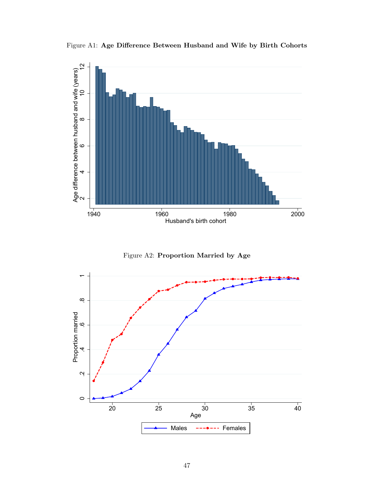



Figure A2: Proportion Married by Age

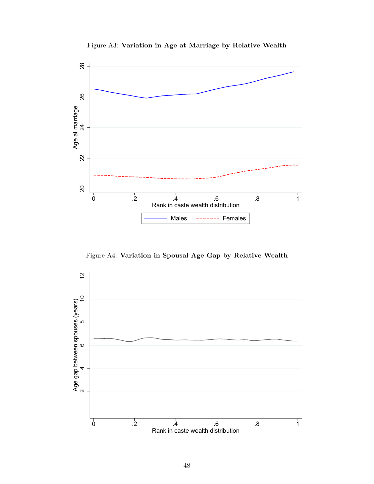

Figure A3: Variation in Age at Marriage by Relative Wealth

Figure A4: Variation in Spousal Age Gap by Relative Wealth

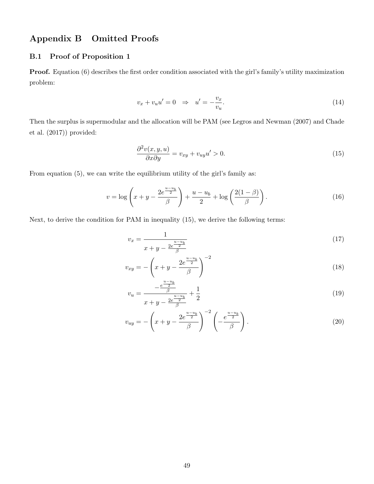# Appendix B Omitted Proofs

## B.1 Proof of Proposition 1

Proof. Equation (6) describes the first order condition associated with the girl's family's utility maximization problem:

$$
v_x + v_u u' = 0 \quad \Rightarrow \quad u' = -\frac{v_x}{v_u}.\tag{14}
$$

Then the surplus is supermodular and the allocation will be PAM (see Legros and Newman (2007) and Chade et al. (2017)) provided:

$$
\frac{\partial^2 v(x, y, u)}{\partial x \partial y} = v_{xy} + v_{uy} u' > 0.
$$
\n(15)

From equation  $(5)$ , we can write the equilibrium utility of the girl's family as:

$$
v = \log\left(x + y - \frac{2e^{\frac{u - u_b}{2}}}{\beta}\right) + \frac{u - u_b}{2} + \log\left(\frac{2(1 - \beta)}{\beta}\right). \tag{16}
$$

Next, to derive the condition for PAM in inequality (15), we derive the following terms:

$$
v_x = \frac{1}{x + y - \frac{2e^{\frac{u - u_b}{2}}}{\beta}}
$$
(17)

$$
v_{xy} = -\left(x + y - \frac{2e^{\frac{u - u_b}{2}}}{\beta}\right)^{-2}
$$
 (18)

$$
v_u = \frac{-\frac{e^{-\frac{2}{3}}}{\beta}}{x+y-\frac{2e^{\frac{u-u_b}{2}}}{\beta}} + \frac{1}{2}
$$
(19)

$$
v_{uy} = -\left(x + y - \frac{2e^{\frac{u - u_b}{2}}}{\beta}\right)^{-2} \left(-\frac{e^{\frac{u - u_b}{2}}}{\beta}\right).
$$
 (20)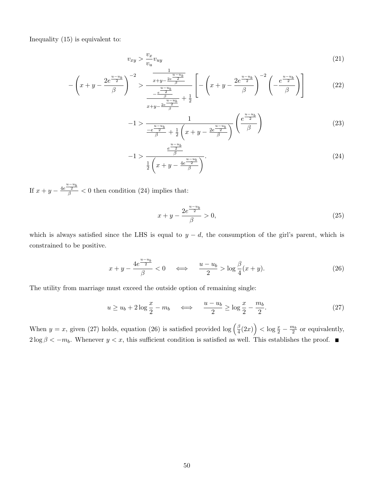Inequality (15) is equivalent to:

$$
v_{xy} > \frac{v_x}{v_u} v_{uy} \tag{21}
$$

$$
-\left(x+y-\frac{2e^{\frac{u-u_b}{2}}}{\beta}\right)^{-2} > \frac{\frac{u-u_b}{x+y-\frac{2e^{\frac{u-u_b}{2}}}{\beta}}}{\frac{e^{\frac{u-u_b}{2}}}{\frac{u-u_b}{\beta}}+\frac{1}{2}} \left[-\left(x+y-\frac{2e^{\frac{u-u_b}{2}}}{\beta}\right)^{-2}\left(-\frac{e^{\frac{u-u_b}{2}}}{\beta}\right)\right] \tag{22}
$$

$$
-1 > \frac{1}{\frac{-e^{\frac{u-u_b}{2}}}{\beta} + \frac{1}{2}\left(x+y-\frac{2e^{\frac{u-u_b}{2}}}{\beta}\right)} \left(\frac{e^{\frac{u-u_b}{2}}}{\beta}\right)
$$
(23)

$$
-1 > \frac{\frac{e^{\frac{u-u_b}{2}}}{\beta}}{\frac{1}{2}\left(x+y-\frac{4e^{\frac{u-u_b}{2}}}{\beta}\right)}.
$$
\n(24)

If  $x + y - \frac{4e^{\frac{u-u_b}{2}}}{\beta} < 0$  then condition (24) implies that:

$$
x + y - \frac{2e^{\frac{u - u_b}{2}}}{\beta} > 0,
$$
\n(25)

which is always satisfied since the LHS is equal to  $y - d$ , the consumption of the girl's parent, which is constrained to be positive.

$$
x + y - \frac{4e^{\frac{u - u_b}{2}}}{\beta} < 0 \quad \Longleftrightarrow \quad \frac{u - u_b}{2} > \log \frac{\beta}{4}(x + y). \tag{26}
$$

The utility from marriage must exceed the outside option of remaining single:

$$
u \ge u_b + 2\log\frac{x}{2} - m_b \quad \iff \quad \frac{u - u_b}{2} \ge \log\frac{x}{2} - \frac{m_b}{2}.\tag{27}
$$

When  $y = x$ , given (27) holds, equation (26) is satisfied provided log  $\left(\frac{\beta}{4}\right)$  $\frac{\beta}{4}(2x)\Big\} < \log \frac{x}{2} - \frac{m_b}{2}$  or equivalently, 2 log β <  $-m_b$ . Whenever  $y < x$ , this sufficient condition is satisfied as well. This establishes the proof. ■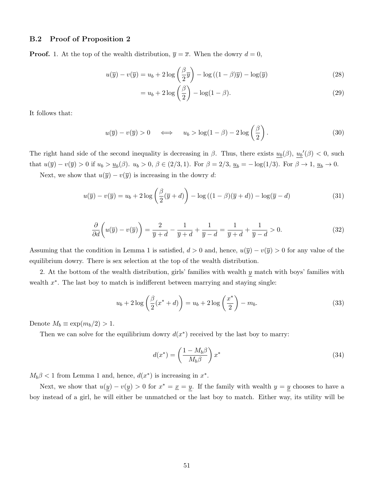### B.2 Proof of Proposition 2

**Proof.** 1. At the top of the wealth distribution,  $\overline{y} = \overline{x}$ . When the dowry  $d = 0$ ,

$$
u(\overline{y}) - v(\overline{y}) = u_b + 2\log\left(\frac{\beta}{2}\overline{y}\right) - \log((1-\beta)\overline{y}) - \log(\overline{y})\tag{28}
$$

$$
=u_b + 2\log\left(\frac{\beta}{2}\right) - \log(1-\beta). \tag{29}
$$

It follows that:

$$
u(\overline{y}) - v(\overline{y}) > 0 \quad \Longleftrightarrow \quad u_b > \log(1 - \beta) - 2\log\left(\frac{\beta}{2}\right). \tag{30}
$$

The right hand side of the second inequality is decreasing in  $\beta$ . Thus, there exists  $u_b(\beta)$ ,  $u_b'(\beta) < 0$ , such that  $u(\overline{y}) - v(\overline{y}) > 0$  if  $u_b > \underline{u}_b(\beta)$ .  $u_b > 0$ ,  $\beta \in (2/3, 1)$ . For  $\beta = 2/3$ ,  $\underline{u}_b = -\log(1/3)$ . For  $\beta \to 1$ ,  $\underline{u}_b \to 0$ .

Next, we show that  $u(\overline{y}) - v(\overline{y})$  is increasing in the dowry d:

$$
u(\overline{y}) - v(\overline{y}) = u_b + 2\log\left(\frac{\beta}{2}(\overline{y} + d)\right) - \log((1 - \beta)(\overline{y} + d)) - \log(\overline{y} - d)
$$
\n(31)

$$
\frac{\partial}{\partial d}\left(u(\overline{y}) - v(\overline{y})\right) = \frac{2}{\overline{y} + d} - \frac{1}{\overline{y} + d} + \frac{1}{\overline{y} - d} = \frac{1}{\overline{y} + d} + \frac{1}{\overline{y} - d} > 0.
$$
\n(32)

Assuming that the condition in Lemma 1 is satisfied,  $d > 0$  and, hence,  $u(\overline{y}) - v(\overline{y}) > 0$  for any value of the equilibrium dowry. There is sex selection at the top of the wealth distribution.

2. At the bottom of the wealth distribution, girls' families with wealth  $y$  match with boys' families with wealth  $x^*$ . The last boy to match is indifferent between marrying and staying single:

$$
u_b + 2\log\left(\frac{\beta}{2}(x^* + d)\right) = u_b + 2\log\left(\frac{x^*}{2}\right) - m_b.
$$
 (33)

Denote  $M_b \equiv \exp(m_b/2) > 1$ .

Then we can solve for the equilibrium dowry  $d(x^*)$  received by the last boy to marry:

$$
d(x^*) = \left(\frac{1 - M_b \beta}{M_b \beta}\right) x^*
$$
\n(34)

 $M_b \beta < 1$  from Lemma 1 and, hence,  $d(x^*)$  is increasing in  $x^*$ .

Next, we show that  $u(y) - v(y) > 0$  for  $x^* = \underline{x} = y$ . If the family with wealth  $y = y$  chooses to have a boy instead of a girl, he will either be unmatched or the last boy to match. Either way, its utility will be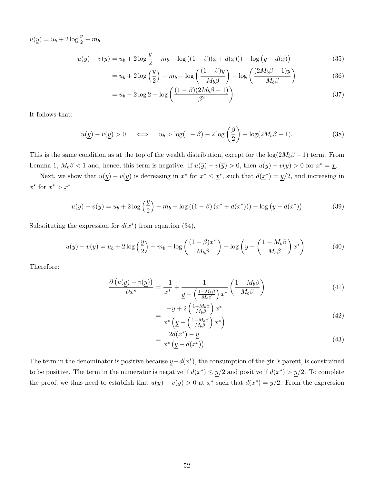$u(\underline{y}) = u_b + 2 \log \frac{y}{2} - m_b.$ 

$$
u(\underline{y}) - v(\underline{y}) = u_b + 2\log\frac{y}{2} - m_b - \log((1-\beta)(\underline{x} + d(\underline{x}))) - \log(\underline{y} - d(\underline{x}))
$$
\n(35)

$$
=u_b + 2\log\left(\frac{y}{2}\right) - m_b - \log\left(\frac{(1-\beta)y}{M_b\beta}\right) - \log\left(\frac{(2M_b\beta - 1)y}{M_b\beta}\right) \tag{36}
$$

$$
= u_b - 2\log 2 - \log \left( \frac{(1-\beta)(2M_b \beta - 1)}{\beta^2} \right)
$$
 (37)

It follows that:

$$
u(\underline{y}) - v(\underline{y}) > 0 \quad \Longleftrightarrow \quad u_b > \log(1 - \beta) - 2\log\left(\frac{\beta}{2}\right) + \log(2M_b\beta - 1). \tag{38}
$$

This is the same condition as at the top of the wealth distribution, except for the  $\log(2M_b\beta - 1)$  term. From Lemma 1,  $M_b\beta < 1$  and, hence, this term is negative. If  $u(\overline{y}) - v(\overline{y}) > 0$ , then  $u(y) - v(y) > 0$  for  $x^* = \underline{x}$ .

Next, we show that  $u(y) - v(y)$  is decreasing in  $x^*$  for  $x^* \leq \underline{x}^*$ , such that  $d(\underline{x}^*) = y/2$ , and increasing in  $x^*$  for  $x^* > \underline{x}^*$ 

$$
u(\underline{y}) - v(\underline{y}) = u_b + 2\log\left(\frac{y}{2}\right) - m_b - \log((1-\beta)(x^* + d(x^*))) - \log\left(\underline{y} - d(x^*)\right)
$$
(39)

Substituting the expression for  $d(x^*)$  from equation (34),

$$
u(\underline{y}) - v(\underline{y}) = u_b + 2\log\left(\frac{\underline{y}}{2}\right) - m_b - \log\left(\frac{(1-\beta)x^*}{M_b\beta}\right) - \log\left(\underline{y} - \left(\frac{1-M_b\beta}{M_b\beta}\right)x^*\right). \tag{40}
$$

Therefore:

$$
\frac{\partial (u(y) - v(y))}{\partial x^*} = \frac{-1}{x^*} + \frac{1}{\underline{y} - \left(\frac{1 - M_b \beta}{M_b \beta}\right) x^*} \left(\frac{1 - M_b \beta}{M_b \beta}\right)
$$
(41)

$$
=\frac{-\underline{y}+2\left(\frac{1-M_b\beta}{M_b\beta}\right)x^*}{x^*\left(\underline{y}-\left(\frac{1-M_b\beta}{M_b\beta}\right)x^*\right)}
$$
(42)

$$
=\frac{2d(x^*) - y}{x^* (y - d(x^*))}.
$$
\n(43)

The term in the denominator is positive because  $y-d(x^*)$ , the consumption of the girl's parent, is constrained to be positive. The term in the numerator is negative if  $d(x^*) \leq y/2$  and positive if  $d(x^*) > y/2$ . To complete the proof, we thus need to establish that  $u(y) - v(y) > 0$  at  $x^*$  such that  $d(x^*) = y/2$ . From the expression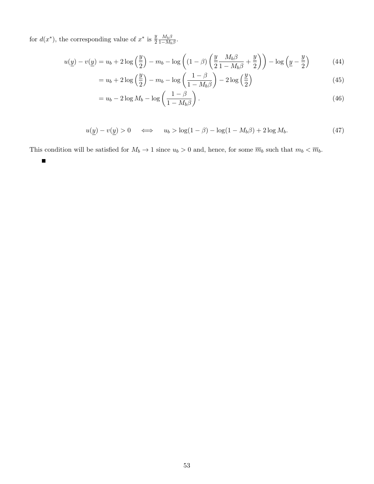for  $d(x^*)$ , the corresponding value of  $x^*$  is  $\frac{y}{2} \frac{M_b \beta}{1 - M_b}$  $\frac{M_b \beta}{1-M_b \beta}$ .

$$
u(\underline{y}) - v(\underline{y}) = u_b + 2\log\left(\frac{y}{2}\right) - m_b - \log\left((1-\beta)\left(\frac{y}{2}\frac{M_b\beta}{1-M_b\beta} + \frac{y}{2}\right)\right) - \log\left(\underline{y} - \frac{y}{2}\right) \tag{44}
$$

$$
=u_b + 2\log\left(\frac{y}{2}\right) - m_b - \log\left(\frac{1-\beta}{1-M_b\beta}\right) - 2\log\left(\frac{y}{2}\right) \tag{45}
$$

$$
=u_b-2\log M_b-\log\left(\frac{1-\beta}{1-M_b\beta}\right). \tag{46}
$$

$$
u(\underline{y}) - v(\underline{y}) > 0 \quad \Longleftrightarrow \quad u_b > \log(1 - \beta) - \log(1 - M_b \beta) + 2\log M_b. \tag{47}
$$

This condition will be satisfied for  $M_b \to 1$  since  $u_b > 0$  and, hence, for some  $\overline{m}_b$  such that  $m_b < \overline{m}_b$ .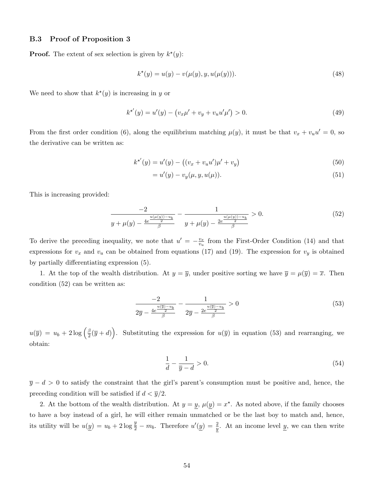#### B.3 Proof of Proposition 3

**Proof.** The extent of sex selection is given by  $k^*(y)$ :

$$
k^*(y) = u(y) - v(\mu(y), y, u(\mu(y))).
$$
\n(48)

We need to show that  $k^*(y)$  is increasing in y or

$$
k^{\star'}(y) = u'(y) - (v_x\mu' + v_y + v_u u'\mu') > 0.
$$
\n(49)

From the first order condition (6), along the equilibrium matching  $\mu(y)$ , it must be that  $v_x + v_u u' = 0$ , so the derivative can be written as:

$$
k^{\star'}(y) = u'(y) - ((v_x + v_u u')\mu' + v_y)
$$
\n(50)

$$
=u'(y)-v_y(\mu, y, u(\mu)).
$$
\n(51)

This is increasing provided:

$$
\frac{-2}{y + \mu(y) - \frac{4e^{\frac{u(\mu(y)) - u_b}{2}}}{\beta}} - \frac{1}{y + \mu(y) - \frac{2e^{\frac{u(\mu(y)) - u_b}{2}}}{\beta}} > 0.
$$
\n(52)

To derive the preceding inequality, we note that  $u' = -\frac{v_x}{v_y}$  $\frac{v_x}{v_u}$  from the First-Order Condition (14) and that expressions for  $v_x$  and  $v_y$  can be obtained from equations (17) and (19). The expression for  $v_y$  is obtained by partially differentiating expression (5).

1. At the top of the wealth distribution. At  $y = \overline{y}$ , under positive sorting we have  $\overline{y} = \mu(\overline{y}) = \overline{x}$ . Then condition (52) can be written as:

$$
\frac{-2}{2\overline{y} - \frac{4e^{\frac{u(\overline{y}) - u_b}{2}}}{\beta}} - \frac{1}{2\overline{y} - \frac{2e^{\frac{u(\overline{y}) - u_b}{2}}}{\beta}} > 0
$$
\n
$$
(53)
$$

 $u(\overline{y}) = u_b + 2\log\left(\frac{\beta}{2}\right)$  $\left(\frac{\beta}{2}(\overline{y}+d)\right)$ . Substituting the expression for  $u(\overline{y})$  in equation (53) and rearranging, we obtain:

$$
\frac{1}{d} - \frac{1}{\overline{y} - d} > 0. \tag{54}
$$

 $\bar{y} - d > 0$  to satisfy the constraint that the girl's parent's consumption must be positive and, hence, the preceding condition will be satisfied if  $d < \overline{y}/2$ .

2. At the bottom of the wealth distribution. At  $y = y$ ,  $\mu(y) = x^*$ . As noted above, if the family chooses to have a boy instead of a girl, he will either remain unmatched or be the last boy to match and, hence, its utility will be  $u(\underline{y}) = u_b + 2 \log \frac{y}{2} - m_b$ . Therefore  $u'(\underline{y}) = \frac{2}{y}$ . At an income level  $\underline{y}$ , we can then write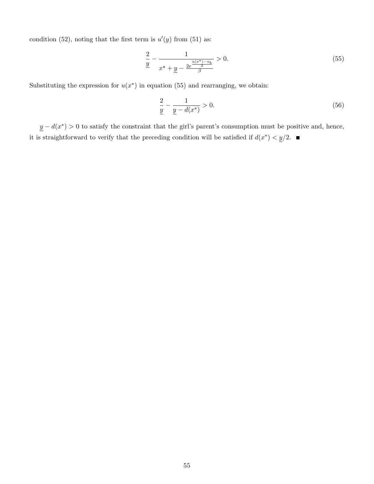condition (52), noting that the first term is  $u'(y)$  from (51) as:

$$
\frac{2}{y} - \frac{1}{x^* + \underline{y} - \frac{2e^{\frac{u(x^*) - u_b}{2}}}{\beta}} > 0.
$$
\n(55)

Substituting the expression for  $u(x^*)$  in equation (55) and rearranging, we obtain:

$$
\frac{2}{y} - \frac{1}{y - d(x^*)} > 0.
$$
\n(56)

 $y - d(x^*) > 0$  to satisfy the constraint that the girl's parent's consumption must be positive and, hence, it is straightforward to verify that the preceding condition will be satisfied if  $d(x^*) < y/2$ .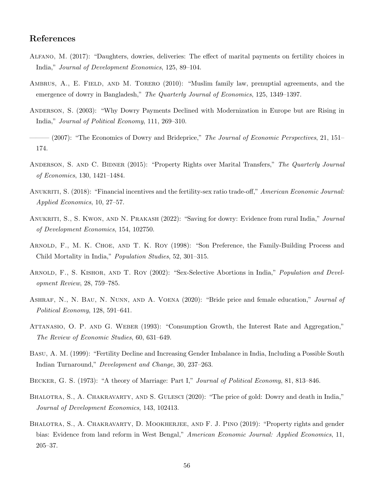## References

- Alfano, M. (2017): "Daughters, dowries, deliveries: The effect of marital payments on fertility choices in India," Journal of Development Economics, 125, 89–104.
- AMBRUS, A., E. FIELD, AND M. TORERO (2010): "Muslim family law, prenuptial agreements, and the emergence of dowry in Bangladesh," The Quarterly Journal of Economics, 125, 1349–1397.
- Anderson, S. (2003): "Why Dowry Payments Declined with Modernization in Europe but are Rising in India," Journal of Political Economy, 111, 269–310.
- $-$  (2007): "The Economics of Dowry and Brideprice," The Journal of Economic Perspectives, 21, 151– 174.
- ANDERSON, S. AND C. BIDNER (2015): "Property Rights over Marital Transfers," The Quarterly Journal of Economics, 130, 1421–1484.
- ANUKRITI, S. (2018): "Financial incentives and the fertility-sex ratio trade-off," American Economic Journal: Applied Economics, 10, 27–57.
- ANUKRITI, S., S. KWON, AND N. PRAKASH (2022): "Saving for dowry: Evidence from rural India," Journal of Development Economics, 154, 102750.
- Arnold, F., M. K. Choe, and T. K. Roy (1998): "Son Preference, the Family-Building Process and Child Mortality in India," Population Studies, 52, 301–315.
- ARNOLD, F., S. KISHOR, AND T. ROY (2002): "Sex-Selective Abortions in India," Population and Development Review, 28, 759–785.
- Ashraf, N., N. Bau, N. Nunn, and A. Voena (2020): "Bride price and female education," Journal of Political Economy, 128, 591–641.
- Attanasio, O. P. and G. Weber (1993): "Consumption Growth, the Interest Rate and Aggregation," The Review of Economic Studies, 60, 631–649.
- Basu, A. M. (1999): "Fertility Decline and Increasing Gender Imbalance in India, Including a Possible South Indian Turnaround," Development and Change, 30, 237–263.
- BECKER, G. S. (1973): "A theory of Marriage: Part I," Journal of Political Economy, 81, 813–846.
- BHALOTRA, S., A. CHAKRAVARTY, AND S. GULESCI (2020): "The price of gold: Dowry and death in India," Journal of Development Economics, 143, 102413.
- BHALOTRA, S., A. CHAKRAVARTY, D. MOOKHERJEE, AND F. J. PINO (2019): "Property rights and gender bias: Evidence from land reform in West Bengal," American Economic Journal: Applied Economics, 11, 205–37.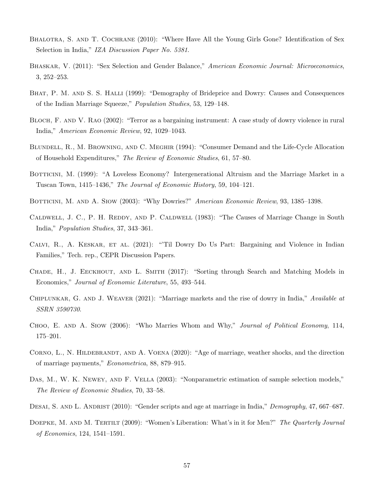- BHALOTRA, S. AND T. COCHRANE (2010): "Where Have All the Young Girls Gone? Identification of Sex Selection in India," IZA Discussion Paper No. 5381.
- BHASKAR, V. (2011): "Sex Selection and Gender Balance," American Economic Journal: Microeconomics, 3, 252–253.
- BHAT, P. M. AND S. S. HALLI (1999): "Demography of Brideprice and Dowry: Causes and Consequences of the Indian Marriage Squeeze," Population Studies, 53, 129–148.
- Bloch, F. and V. Rao (2002): "Terror as a bargaining instrument: A case study of dowry violence in rural India," American Economic Review, 92, 1029–1043.
- Blundell, R., M. Browning, and C. Meghir (1994): "Consumer Demand and the Life-Cycle Allocation of Household Expenditures," The Review of Economic Studies, 61, 57–80.
- BOTTICINI, M. (1999): "A Loveless Economy? Intergenerational Altruism and the Marriage Market in a Tuscan Town, 1415–1436," The Journal of Economic History, 59, 104–121.
- BOTTICINI, M. AND A. SIOW (2003): "Why Dowries?" American Economic Review, 93, 1385-1398.
- CALDWELL, J. C., P. H. REDDY, AND P. CALDWELL (1983): "The Causes of Marriage Change in South India," Population Studies, 37, 343–361.
- Calvi, R., A. Keskar, et al. (2021): "'Til Dowry Do Us Part: Bargaining and Violence in Indian Families," Tech. rep., CEPR Discussion Papers.
- CHADE, H., J. EECKHOUT, AND L. SMITH (2017): "Sorting through Search and Matching Models in Economics," Journal of Economic Literature, 55, 493–544.
- CHIPLUNKAR, G. AND J. WEAVER (2021): "Marriage markets and the rise of dowry in India," Available at SSRN 3590730.
- CHOO, E. AND A. SIOW (2006): "Who Marries Whom and Why," Journal of Political Economy, 114, 175–201.
- CORNO, L., N. HILDEBRANDT, AND A. VOENA (2020): "Age of marriage, weather shocks, and the direction of marriage payments," Econometrica, 88, 879–915.
- Das, M., W. K. Newey, and F. Vella (2003): "Nonparametric estimation of sample selection models," The Review of Economic Studies, 70, 33–58.
- DESAI, S. AND L. ANDRIST (2010): "Gender scripts and age at marriage in India," Demography, 47, 667–687.
- DOEPKE, M. AND M. TERTILT (2009): "Women's Liberation: What's in it for Men?" The Quarterly Journal of Economics, 124, 1541–1591.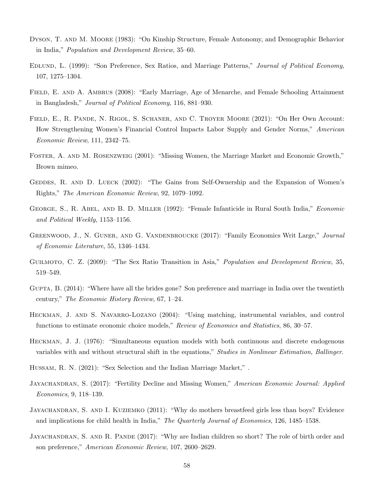- DYSON, T. AND M. MOORE (1983): "On Kinship Structure, Female Autonomy, and Demographic Behavior in India," Population and Development Review, 35–60.
- Edlund, L. (1999): "Son Preference, Sex Ratios, and Marriage Patterns," Journal of Political Economy, 107, 1275–1304.
- FIELD, E. AND A. AMBRUS (2008): "Early Marriage, Age of Menarche, and Female Schooling Attainment in Bangladesh," Journal of Political Economy, 116, 881–930.
- FIELD, E., R. PANDE, N. RIGOL, S. SCHANER, AND C. TROYER MOORE (2021): "On Her Own Account: How Strengthening Women's Financial Control Impacts Labor Supply and Gender Norms," American Economic Review, 111, 2342–75.
- Foster, A. and M. Rosenzweig (2001): "Missing Women, the Marriage Market and Economic Growth," Brown mimeo.
- GEDDES, R. AND D. LUECK (2002): "The Gains from Self-Ownership and the Expansion of Women's Rights," The American Economic Review, 92, 1079–1092.
- George, S., R. Abel, and B. D. Miller (1992): "Female Infanticide in Rural South India," Economic and Political Weekly, 1153–1156.
- GREENWOOD, J., N. GUNER, AND G. VANDENBROUCKE (2017): "Family Economics Writ Large," Journal of Economic Literature, 55, 1346–1434.
- GUILMOTO, C. Z. (2009): "The Sex Ratio Transition in Asia," *Population and Development Review*, 35, 519–549.
- Gupta, B. (2014): "Where have all the brides gone? Son preference and marriage in India over the twentieth century," The Economic History Review, 67, 1–24.
- HECKMAN, J. AND S. NAVARRO-LOZANO (2004): "Using matching, instrumental variables, and control functions to estimate economic choice models," Review of Economics and Statistics, 86, 30–57.
- Heckman, J. J. (1976): "Simultaneous equation models with both continuous and discrete endogenous variables with and without structural shift in the equations," Studies in Nonlinear Estimation, Ballinger.
- Hussam, R. N. (2021): "Sex Selection and the Indian Marriage Market," .
- JAYACHANDRAN, S. (2017): "Fertility Decline and Missing Women," American Economic Journal: Applied Economics, 9, 118–139.
- JAYACHANDRAN, S. AND I. KUZIEMKO (2011): "Why do mothers breastfeed girls less than boys? Evidence and implications for child health in India," The Quarterly Journal of Economics, 126, 1485-1538.
- JAYACHANDRAN, S. AND R. PANDE (2017): "Why are Indian children so short? The role of birth order and son preference," American Economic Review, 107, 2600–2629.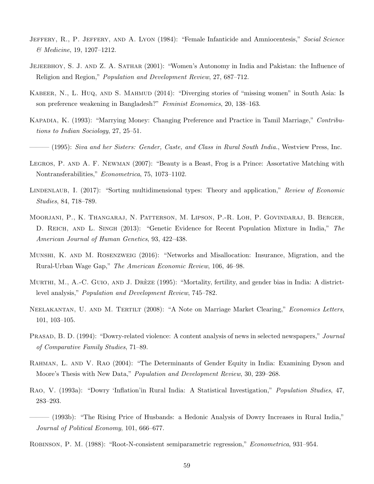- JEFFERY, R., P. JEFFERY, AND A. LYON (1984): "Female Infanticide and Amniocentesis," Social Science & Medicine, 19, 1207–1212.
- Jejeebhoy, S. J. and Z. A. Sathar (2001): "Women's Autonomy in India and Pakistan: the Influence of Religion and Region," Population and Development Review, 27, 687–712.
- KABEER, N., L. HUQ, AND S. MAHMUD (2014): "Diverging stories of "missing women" in South Asia: Is son preference weakening in Bangladesh?" Feminist Economics, 20, 138–163.
- Kapadia, K. (1993): "Marrying Money: Changing Preference and Practice in Tamil Marriage," Contributions to Indian Sociology, 27, 25–51.
- $-(1995)$ : Siva and her Sisters: Gender, Caste, and Class in Rural South India., Westview Press, Inc.
- LEGROS, P. AND A. F. NEWMAN (2007): "Beauty is a Beast, Frog is a Prince: Assortative Matching with Nontransferabilities," Econometrica, 75, 1073–1102.
- LINDENLAUB, I. (2017): "Sorting multidimensional types: Theory and application," Review of Economic Studies, 84, 718–789.
- Moorjani, P., K. Thangaraj, N. Patterson, M. Lipson, P.-R. Loh, P. Govindaraj, B. Berger, D. REICH, AND L. SINGH (2013): "Genetic Evidence for Recent Population Mixture in India," The American Journal of Human Genetics, 93, 422–438.
- Munshi, K. and M. Rosenzweig (2016): "Networks and Misallocation: Insurance, Migration, and the Rural-Urban Wage Gap," The American Economic Review, 106, 46–98.
- MURTHI, M., A.-C. GUIO, AND J. DRÈZE (1995): "Mortality, fertility, and gender bias in India: A districtlevel analysis," Population and Development Review, 745–782.
- NEELAKANTAN, U. AND M. TERTILT (2008): "A Note on Marriage Market Clearing," Economics Letters, 101, 103–105.
- PRASAD, B. D. (1994): "Dowry-related violence: A content analysis of news in selected newspapers," Journal of Comparative Family Studies, 71–89.
- RAHMAN, L. AND V. RAO (2004): "The Determinants of Gender Equity in India: Examining Dyson and Moore's Thesis with New Data," Population and Development Review, 30, 239–268.
- Rao, V. (1993a): "Dowry 'Inflation'in Rural India: A Statistical Investigation," Population Studies, 47, 283–293.
- ——— (1993b): "The Rising Price of Husbands: a Hedonic Analysis of Dowry Increases in Rural India," Journal of Political Economy, 101, 666–677.
- Robinson, P. M. (1988): "Root-N-consistent semiparametric regression," Econometrica, 931–954.